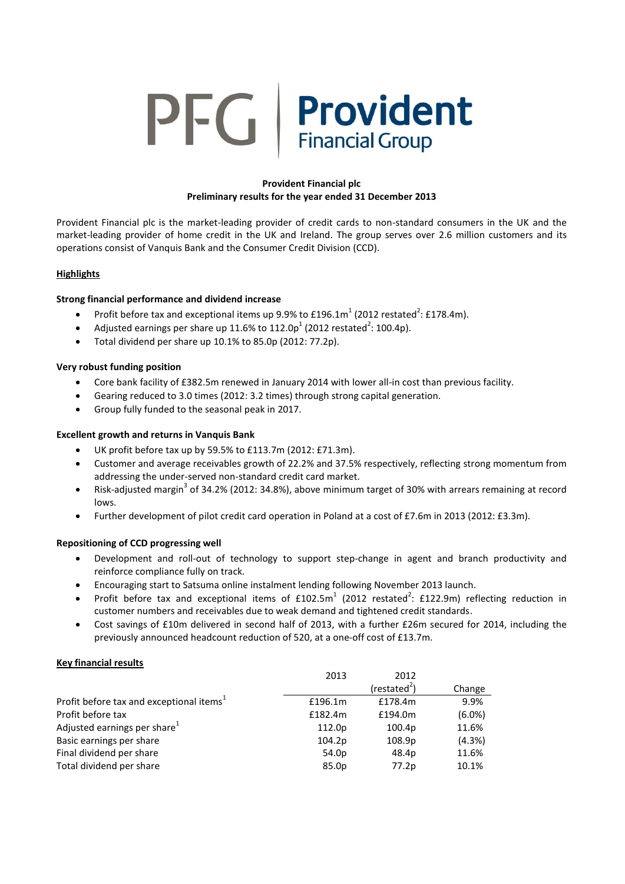# **PFG** | Provident

# **Provident Financial plc Preliminary results for the year ended 31 December 2013**

Provident Financial plc is the market-leading provider of credit cards to non-standard consumers in the UK and the market-leading provider of home credit in the UK and Ireland. The group serves over 2.6 million customers and its operations consist of Vanquis Bank and the Consumer Credit Division (CCD).

# **Highlights**

## **Strong financial performance and dividend increase**

- Profit before tax and exceptional items up 9.9% to  $£196.1m<sup>1</sup>$  (2012 restated<sup>2</sup>: £178.4m).
- Adjusted earnings per share up 11.6% to 112.0p<sup>1</sup> (2012 restated<sup>2</sup>: 100.4p).
- Total dividend per share up 10.1% to 85.0p (2012: 77.2p).

## **Very robust funding position**

- Core bank facility of £382.5m renewed in January 2014 with lower all-in cost than previous facility.
- Gearing reduced to 3.0 times (2012: 3.2 times) through strong capital generation.
- Group fully funded to the seasonal peak in 2017.

## **Excellent growth and returns in Vanquis Bank**

- UK profit before tax up by 59.5% to £113.7m (2012: £71.3m).
- Customer and average receivables growth of 22.2% and 37.5% respectively, reflecting strong momentum from addressing the under-served non-standard credit card market.
- Risk-adjusted margin<sup>3</sup> of 34.2% (2012: 34.8%), above minimum target of 30% with arrears remaining at record lows.
- Further development of pilot credit card operation in Poland at a cost of £7.6m in 2013 (2012: £3.3m).

# **Repositioning of CCD progressing well**

- Development and roll-out of technology to support step-change in agent and branch productivity and reinforce compliance fully on track.
- Encouraging start to Satsuma online instalment lending following November 2013 launch.
- Profit before tax and exceptional items of  $£102.5m<sup>1</sup>$  (2012 restated<sup>2</sup>: £122.9m) reflecting reduction in customer numbers and receivables due to weak demand and tightened credit standards.
- Cost savings of £10m delivered in second half of 2013, with a further £26m secured for 2014, including the previously announced headcount reduction of 520, at a one-off cost of £13.7m.

## **Key financial results**

| 2013    | 2012                     |           |
|---------|--------------------------|-----------|
|         | (restated <sup>2</sup> ) | Change    |
| £196.1m | £178.4m                  | 9.9%      |
| £182.4m | £194.0m                  | $(6.0\%)$ |
| 112.0p  | 100.4p                   | 11.6%     |
| 104.2p  | 108.9p                   | (4.3%)    |
| 54.0p   | 48.4p                    | 11.6%     |
| 85.0p   | 77.2p                    | 10.1%     |
|         |                          |           |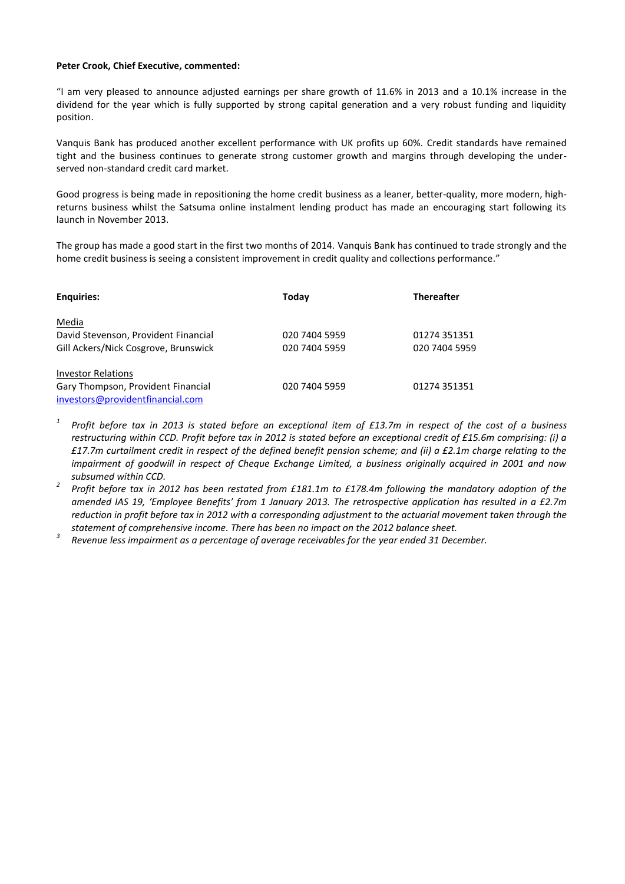#### **Peter Crook, Chief Executive, commented:**

"I am very pleased to announce adjusted earnings per share growth of 11.6% in 2013 and a 10.1% increase in the dividend for the year which is fully supported by strong capital generation and a very robust funding and liquidity position.

Vanquis Bank has produced another excellent performance with UK profits up 60%. Credit standards have remained tight and the business continues to generate strong customer growth and margins through developing the underserved non-standard credit card market.

Good progress is being made in repositioning the home credit business as a leaner, better-quality, more modern, highreturns business whilst the Satsuma online instalment lending product has made an encouraging start following its launch in November 2013.

The group has made a good start in the first two months of 2014. Vanquis Bank has continued to trade strongly and the home credit business is seeing a consistent improvement in credit quality and collections performance."

| <b>Enquiries:</b>                    | Today         | <b>Thereafter</b> |
|--------------------------------------|---------------|-------------------|
| Media                                |               |                   |
| David Stevenson, Provident Financial | 020 7404 5959 | 01274 351351      |
| Gill Ackers/Nick Cosgrove, Brunswick | 020 7404 5959 | 020 7404 5959     |
| <b>Investor Relations</b>            |               |                   |
| Gary Thompson, Provident Financial   | 020 7404 5959 | 01274 351351      |
| investors@providentfinancial.com     |               |                   |

- *1 Profit before tax in 2013 is stated before an exceptional item of £13.7m in respect of the cost of a business restructuring within CCD. Profit before tax in 2012 is stated before an exceptional credit of £15.6m comprising: (i) a £17.7m curtailment credit in respect of the defined benefit pension scheme; and (ii) a £2.1m charge relating to the impairment of goodwill in respect of Cheque Exchange Limited, a business originally acquired in 2001 and now subsumed within CCD.*
- *2 Profit before tax in 2012 has been restated from £181.1m to £178.4m following the mandatory adoption of the amended IAS 19, 'Employee Benefits' from 1 January 2013. The retrospective application has resulted in a £2.7m reduction in profit before tax in 2012 with a corresponding adjustment to the actuarial movement taken through the statement of comprehensive income. There has been no impact on the 2012 balance sheet.*
- *3 Revenue less impairment as a percentage of average receivables for the year ended 31 December.*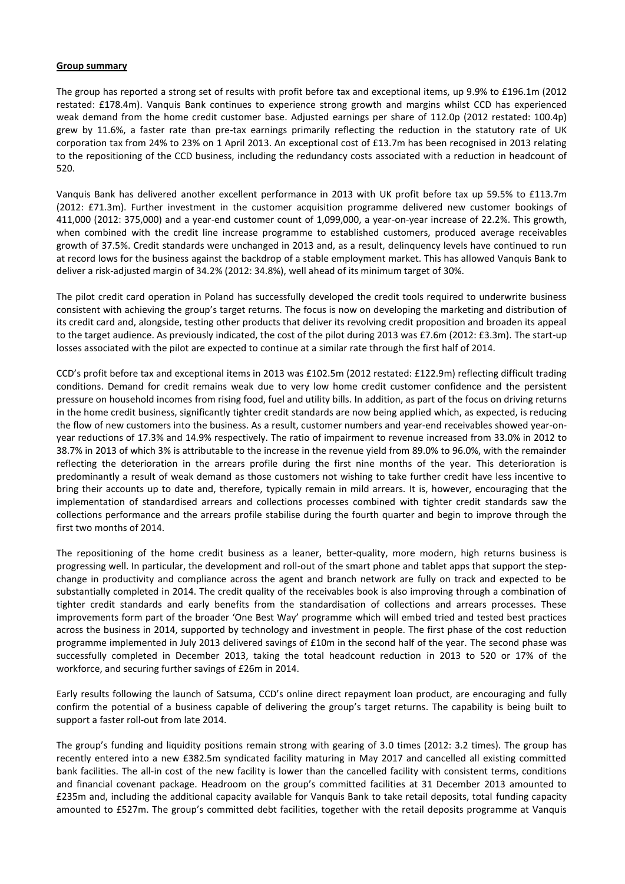#### **Group summary**

The group has reported a strong set of results with profit before tax and exceptional items, up 9.9% to £196.1m (2012 restated: £178.4m). Vanquis Bank continues to experience strong growth and margins whilst CCD has experienced weak demand from the home credit customer base. Adjusted earnings per share of 112.0p (2012 restated: 100.4p) grew by 11.6%, a faster rate than pre-tax earnings primarily reflecting the reduction in the statutory rate of UK corporation tax from 24% to 23% on 1 April 2013. An exceptional cost of £13.7m has been recognised in 2013 relating to the repositioning of the CCD business, including the redundancy costs associated with a reduction in headcount of 520.

Vanquis Bank has delivered another excellent performance in 2013 with UK profit before tax up 59.5% to £113.7m (2012: £71.3m). Further investment in the customer acquisition programme delivered new customer bookings of 411,000 (2012: 375,000) and a year-end customer count of 1,099,000, a year-on-year increase of 22.2%. This growth, when combined with the credit line increase programme to established customers, produced average receivables growth of 37.5%. Credit standards were unchanged in 2013 and, as a result, delinquency levels have continued to run at record lows for the business against the backdrop of a stable employment market. This has allowed Vanquis Bank to deliver a risk-adjusted margin of 34.2% (2012: 34.8%), well ahead of its minimum target of 30%.

The pilot credit card operation in Poland has successfully developed the credit tools required to underwrite business consistent with achieving the group's target returns. The focus is now on developing the marketing and distribution of its credit card and, alongside, testing other products that deliver its revolving credit proposition and broaden its appeal to the target audience. As previously indicated, the cost of the pilot during 2013 was £7.6m (2012: £3.3m). The start-up losses associated with the pilot are expected to continue at a similar rate through the first half of 2014.

CCD's profit before tax and exceptional items in 2013 was £102.5m (2012 restated: £122.9m) reflecting difficult trading conditions. Demand for credit remains weak due to very low home credit customer confidence and the persistent pressure on household incomes from rising food, fuel and utility bills. In addition, as part of the focus on driving returns in the home credit business, significantly tighter credit standards are now being applied which, as expected, is reducing the flow of new customers into the business. As a result, customer numbers and year-end receivables showed year-onyear reductions of 17.3% and 14.9% respectively. The ratio of impairment to revenue increased from 33.0% in 2012 to 38.7% in 2013 of which 3% is attributable to the increase in the revenue yield from 89.0% to 96.0%, with the remainder reflecting the deterioration in the arrears profile during the first nine months of the year. This deterioration is predominantly a result of weak demand as those customers not wishing to take further credit have less incentive to bring their accounts up to date and, therefore, typically remain in mild arrears. It is, however, encouraging that the implementation of standardised arrears and collections processes combined with tighter credit standards saw the collections performance and the arrears profile stabilise during the fourth quarter and begin to improve through the first two months of 2014.

The repositioning of the home credit business as a leaner, better-quality, more modern, high returns business is progressing well. In particular, the development and roll-out of the smart phone and tablet apps that support the stepchange in productivity and compliance across the agent and branch network are fully on track and expected to be substantially completed in 2014. The credit quality of the receivables book is also improving through a combination of tighter credit standards and early benefits from the standardisation of collections and arrears processes. These improvements form part of the broader 'One Best Way' programme which will embed tried and tested best practices across the business in 2014, supported by technology and investment in people. The first phase of the cost reduction programme implemented in July 2013 delivered savings of £10m in the second half of the year. The second phase was successfully completed in December 2013, taking the total headcount reduction in 2013 to 520 or 17% of the workforce, and securing further savings of £26m in 2014.

Early results following the launch of Satsuma, CCD's online direct repayment loan product, are encouraging and fully confirm the potential of a business capable of delivering the group's target returns. The capability is being built to support a faster roll-out from late 2014.

The group's funding and liquidity positions remain strong with gearing of 3.0 times (2012: 3.2 times). The group has recently entered into a new £382.5m syndicated facility maturing in May 2017 and cancelled all existing committed bank facilities. The all-in cost of the new facility is lower than the cancelled facility with consistent terms, conditions and financial covenant package. Headroom on the group's committed facilities at 31 December 2013 amounted to £235m and, including the additional capacity available for Vanquis Bank to take retail deposits, total funding capacity amounted to £527m. The group's committed debt facilities, together with the retail deposits programme at Vanquis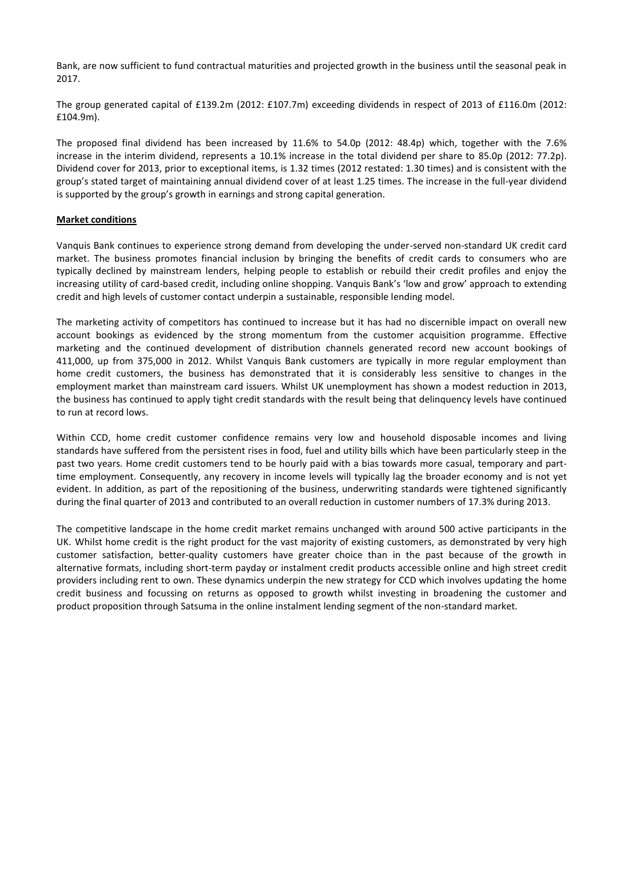Bank, are now sufficient to fund contractual maturities and projected growth in the business until the seasonal peak in 2017.

The group generated capital of £139.2m (2012: £107.7m) exceeding dividends in respect of 2013 of £116.0m (2012: £104.9m).

The proposed final dividend has been increased by 11.6% to 54.0p (2012: 48.4p) which, together with the 7.6% increase in the interim dividend, represents a 10.1% increase in the total dividend per share to 85.0p (2012: 77.2p). Dividend cover for 2013, prior to exceptional items, is 1.32 times (2012 restated: 1.30 times) and is consistent with the group's stated target of maintaining annual dividend cover of at least 1.25 times. The increase in the full-year dividend is supported by the group's growth in earnings and strong capital generation.

#### **Market conditions**

Vanquis Bank continues to experience strong demand from developing the under-served non-standard UK credit card market. The business promotes financial inclusion by bringing the benefits of credit cards to consumers who are typically declined by mainstream lenders, helping people to establish or rebuild their credit profiles and enjoy the increasing utility of card-based credit, including online shopping. Vanquis Bank's 'low and grow' approach to extending credit and high levels of customer contact underpin a sustainable, responsible lending model.

The marketing activity of competitors has continued to increase but it has had no discernible impact on overall new account bookings as evidenced by the strong momentum from the customer acquisition programme. Effective marketing and the continued development of distribution channels generated record new account bookings of 411,000, up from 375,000 in 2012. Whilst Vanquis Bank customers are typically in more regular employment than home credit customers, the business has demonstrated that it is considerably less sensitive to changes in the employment market than mainstream card issuers. Whilst UK unemployment has shown a modest reduction in 2013, the business has continued to apply tight credit standards with the result being that delinquency levels have continued to run at record lows.

Within CCD, home credit customer confidence remains very low and household disposable incomes and living standards have suffered from the persistent rises in food, fuel and utility bills which have been particularly steep in the past two years. Home credit customers tend to be hourly paid with a bias towards more casual, temporary and parttime employment. Consequently, any recovery in income levels will typically lag the broader economy and is not yet evident. In addition, as part of the repositioning of the business, underwriting standards were tightened significantly during the final quarter of 2013 and contributed to an overall reduction in customer numbers of 17.3% during 2013.

The competitive landscape in the home credit market remains unchanged with around 500 active participants in the UK. Whilst home credit is the right product for the vast majority of existing customers, as demonstrated by very high customer satisfaction, better-quality customers have greater choice than in the past because of the growth in alternative formats, including short-term payday or instalment credit products accessible online and high street credit providers including rent to own. These dynamics underpin the new strategy for CCD which involves updating the home credit business and focussing on returns as opposed to growth whilst investing in broadening the customer and product proposition through Satsuma in the online instalment lending segment of the non-standard market.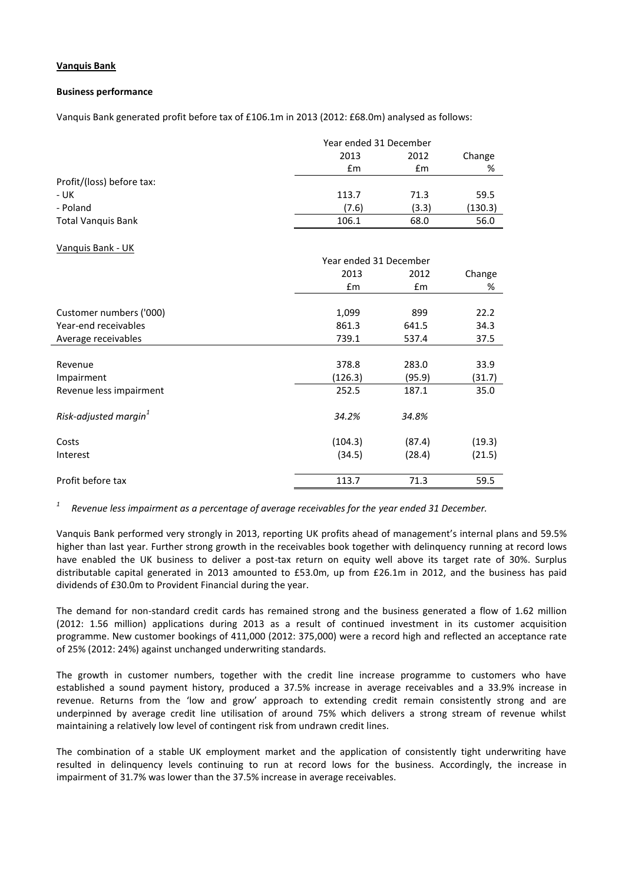## **Vanquis Bank**

#### **Business performance**

Vanquis Bank generated profit before tax of £106.1m in 2013 (2012: £68.0m) analysed as follows:

|                           |       | Year ended 31 December |         |  |        |
|---------------------------|-------|------------------------|---------|--|--------|
|                           | 2013  | 2012                   |         |  | Change |
|                           | £m    | £m                     | %       |  |        |
| Profit/(loss) before tax: |       |                        |         |  |        |
| - UK                      | 113.7 | 71.3                   | 59.5    |  |        |
| - Poland                  | (7.6) | (3.3)                  | (130.3) |  |        |
| <b>Total Vanquis Bank</b> | 106.1 | 68.0                   | 56.0    |  |        |

#### Vanquis Bank - UK

| 2013<br>Change<br>2012<br>$\mathsf{fm}$<br>$\mathsf{fm}$ | % |
|----------------------------------------------------------|---|
|                                                          |   |
|                                                          |   |
|                                                          |   |
| Customer numbers ('000)<br>1,099<br>899<br>22.2          |   |
| Year-end receivables<br>861.3<br>641.5<br>34.3           |   |
| 739.1<br>37.5<br>Average receivables<br>537.4            |   |
|                                                          |   |
| 378.8<br>283.0<br>33.9<br>Revenue                        |   |
| (126.3)<br>(95.9)<br>(31.7)<br>Impairment                |   |
| Revenue less impairment<br>252.5<br>187.1<br>35.0        |   |
|                                                          |   |
| Risk-adjusted margin <sup>1</sup><br>34.2%<br>34.8%      |   |
|                                                          |   |
| (104.3)<br>(87.4)<br>(19.3)<br>Costs                     |   |
| (34.5)<br>(28.4)<br>(21.5)<br>Interest                   |   |
|                                                          |   |
| Profit before tax<br>113.7<br>71.3<br>59.5               |   |

*1 Revenue less impairment as a percentage of average receivables for the year ended 31 December.*

Vanquis Bank performed very strongly in 2013, reporting UK profits ahead of management's internal plans and 59.5% higher than last year. Further strong growth in the receivables book together with delinquency running at record lows have enabled the UK business to deliver a post-tax return on equity well above its target rate of 30%. Surplus distributable capital generated in 2013 amounted to £53.0m, up from £26.1m in 2012, and the business has paid dividends of £30.0m to Provident Financial during the year.

The demand for non-standard credit cards has remained strong and the business generated a flow of 1.62 million (2012: 1.56 million) applications during 2013 as a result of continued investment in its customer acquisition programme. New customer bookings of 411,000 (2012: 375,000) were a record high and reflected an acceptance rate of 25% (2012: 24%) against unchanged underwriting standards.

The growth in customer numbers, together with the credit line increase programme to customers who have established a sound payment history, produced a 37.5% increase in average receivables and a 33.9% increase in revenue. Returns from the 'low and grow' approach to extending credit remain consistently strong and are underpinned by average credit line utilisation of around 75% which delivers a strong stream of revenue whilst maintaining a relatively low level of contingent risk from undrawn credit lines.

The combination of a stable UK employment market and the application of consistently tight underwriting have resulted in delinquency levels continuing to run at record lows for the business. Accordingly, the increase in impairment of 31.7% was lower than the 37.5% increase in average receivables.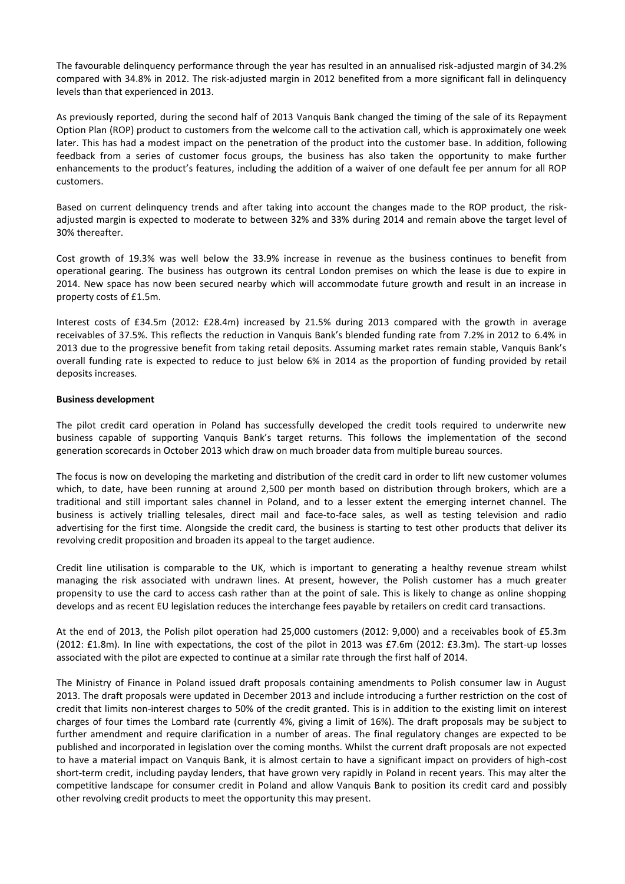The favourable delinquency performance through the year has resulted in an annualised risk-adjusted margin of 34.2% compared with 34.8% in 2012. The risk-adjusted margin in 2012 benefited from a more significant fall in delinquency levels than that experienced in 2013.

As previously reported, during the second half of 2013 Vanquis Bank changed the timing of the sale of its Repayment Option Plan (ROP) product to customers from the welcome call to the activation call, which is approximately one week later. This has had a modest impact on the penetration of the product into the customer base. In addition, following feedback from a series of customer focus groups, the business has also taken the opportunity to make further enhancements to the product's features, including the addition of a waiver of one default fee per annum for all ROP customers.

Based on current delinquency trends and after taking into account the changes made to the ROP product, the riskadjusted margin is expected to moderate to between 32% and 33% during 2014 and remain above the target level of 30% thereafter.

Cost growth of 19.3% was well below the 33.9% increase in revenue as the business continues to benefit from operational gearing. The business has outgrown its central London premises on which the lease is due to expire in 2014. New space has now been secured nearby which will accommodate future growth and result in an increase in property costs of £1.5m.

Interest costs of £34.5m (2012: £28.4m) increased by 21.5% during 2013 compared with the growth in average receivables of 37.5%. This reflects the reduction in Vanquis Bank's blended funding rate from 7.2% in 2012 to 6.4% in 2013 due to the progressive benefit from taking retail deposits. Assuming market rates remain stable, Vanquis Bank's overall funding rate is expected to reduce to just below 6% in 2014 as the proportion of funding provided by retail deposits increases.

#### **Business development**

The pilot credit card operation in Poland has successfully developed the credit tools required to underwrite new business capable of supporting Vanquis Bank's target returns. This follows the implementation of the second generation scorecards in October 2013 which draw on much broader data from multiple bureau sources.

The focus is now on developing the marketing and distribution of the credit card in order to lift new customer volumes which, to date, have been running at around 2,500 per month based on distribution through brokers, which are a traditional and still important sales channel in Poland, and to a lesser extent the emerging internet channel. The business is actively trialling telesales, direct mail and face-to-face sales, as well as testing television and radio advertising for the first time. Alongside the credit card, the business is starting to test other products that deliver its revolving credit proposition and broaden its appeal to the target audience.

Credit line utilisation is comparable to the UK, which is important to generating a healthy revenue stream whilst managing the risk associated with undrawn lines. At present, however, the Polish customer has a much greater propensity to use the card to access cash rather than at the point of sale. This is likely to change as online shopping develops and as recent EU legislation reduces the interchange fees payable by retailers on credit card transactions.

At the end of 2013, the Polish pilot operation had 25,000 customers (2012: 9,000) and a receivables book of £5.3m (2012: £1.8m). In line with expectations, the cost of the pilot in 2013 was £7.6m (2012: £3.3m). The start-up losses associated with the pilot are expected to continue at a similar rate through the first half of 2014.

The Ministry of Finance in Poland issued draft proposals containing amendments to Polish consumer law in August 2013. The draft proposals were updated in December 2013 and include introducing a further restriction on the cost of credit that limits non-interest charges to 50% of the credit granted. This is in addition to the existing limit on interest charges of four times the Lombard rate (currently 4%, giving a limit of 16%). The draft proposals may be subject to further amendment and require clarification in a number of areas. The final regulatory changes are expected to be published and incorporated in legislation over the coming months. Whilst the current draft proposals are not expected to have a material impact on Vanquis Bank, it is almost certain to have a significant impact on providers of high-cost short-term credit, including payday lenders, that have grown very rapidly in Poland in recent years. This may alter the competitive landscape for consumer credit in Poland and allow Vanquis Bank to position its credit card and possibly other revolving credit products to meet the opportunity this may present.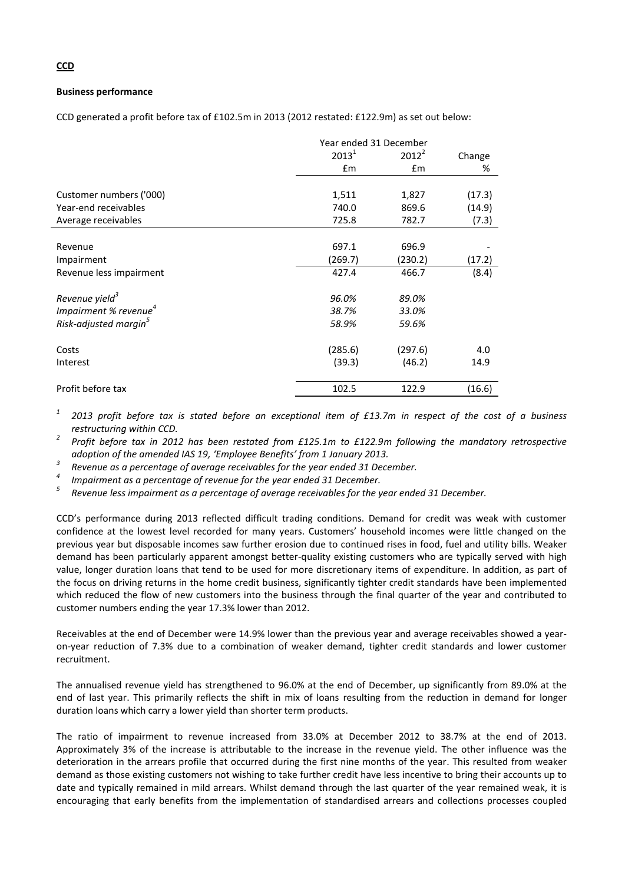#### **Business performance**

CCD generated a profit before tax of £102.5m in 2013 (2012 restated: £122.9m) as set out below:

|                                   | Year ended 31 December |               |        |
|-----------------------------------|------------------------|---------------|--------|
|                                   | $2013^1$               | $2012^2$      | Change |
|                                   | £m                     | $\mathsf{fm}$ | %      |
|                                   |                        |               |        |
| Customer numbers ('000)           | 1,511                  | 1,827         | (17.3) |
| Year-end receivables              | 740.0                  | 869.6         | (14.9) |
| Average receivables               | 725.8                  | 782.7         | (7.3)  |
|                                   |                        |               |        |
| Revenue                           | 697.1                  | 696.9         |        |
| Impairment                        | (269.7)                | (230.2)       | (17.2) |
| Revenue less impairment           | 427.4                  | 466.7         | (8.4)  |
| Revenue yield <sup>3</sup>        | 96.0%                  | 89.0%         |        |
| Impairment % revenue $4$          | 38.7%                  | 33.0%         |        |
| Risk-adjusted margin <sup>5</sup> | 58.9%                  | 59.6%         |        |
| Costs                             | (285.6)                | (297.6)       | 4.0    |
| Interest                          | (39.3)                 | (46.2)        | 14.9   |
| Profit before tax                 | 102.5                  | 122.9         | (16.6) |

*1 2013 profit before tax is stated before an exceptional item of £13.7m in respect of the cost of a business restructuring within CCD.*

*2 Profit before tax in 2012 has been restated from £125.1m to £122.9m following the mandatory retrospective adoption of the amended IAS 19, 'Employee Benefits' from 1 January 2013.* 

*3 Revenue as a percentage of average receivables for the year ended 31 December.*

*4 Impairment as a percentage of revenue for the year ended 31 December.* 

*5 Revenue less impairment as a percentage of average receivables for the year ended 31 December.*

CCD's performance during 2013 reflected difficult trading conditions. Demand for credit was weak with customer confidence at the lowest level recorded for many years. Customers' household incomes were little changed on the previous year but disposable incomes saw further erosion due to continued rises in food, fuel and utility bills. Weaker demand has been particularly apparent amongst better-quality existing customers who are typically served with high value, longer duration loans that tend to be used for more discretionary items of expenditure. In addition, as part of the focus on driving returns in the home credit business, significantly tighter credit standards have been implemented which reduced the flow of new customers into the business through the final quarter of the year and contributed to customer numbers ending the year 17.3% lower than 2012.

Receivables at the end of December were 14.9% lower than the previous year and average receivables showed a yearon-year reduction of 7.3% due to a combination of weaker demand, tighter credit standards and lower customer recruitment.

The annualised revenue yield has strengthened to 96.0% at the end of December, up significantly from 89.0% at the end of last year. This primarily reflects the shift in mix of loans resulting from the reduction in demand for longer duration loans which carry a lower yield than shorter term products.

The ratio of impairment to revenue increased from 33.0% at December 2012 to 38.7% at the end of 2013. Approximately 3% of the increase is attributable to the increase in the revenue yield. The other influence was the deterioration in the arrears profile that occurred during the first nine months of the year. This resulted from weaker demand as those existing customers not wishing to take further credit have less incentive to bring their accounts up to date and typically remained in mild arrears. Whilst demand through the last quarter of the year remained weak, it is encouraging that early benefits from the implementation of standardised arrears and collections processes coupled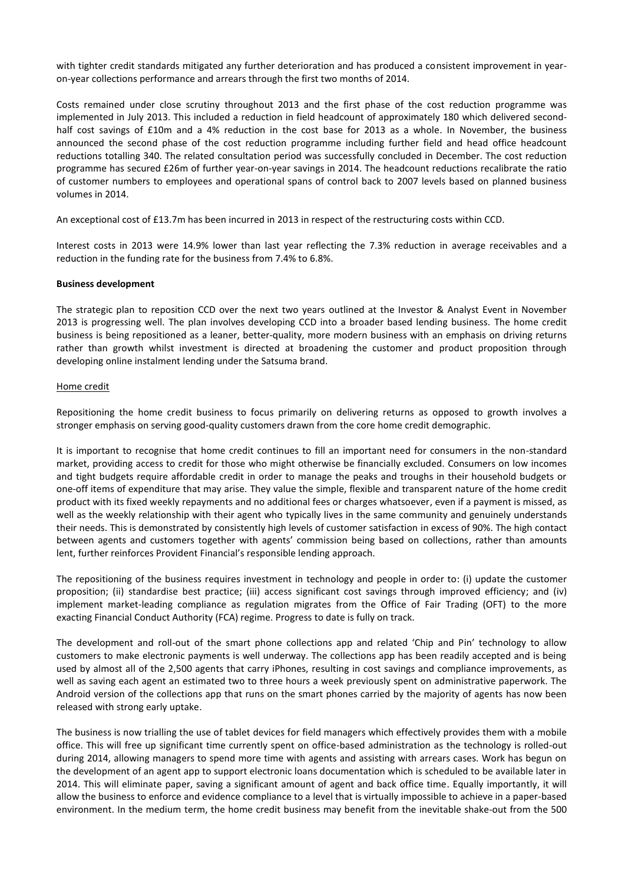with tighter credit standards mitigated any further deterioration and has produced a consistent improvement in yearon-year collections performance and arrears through the first two months of 2014.

Costs remained under close scrutiny throughout 2013 and the first phase of the cost reduction programme was implemented in July 2013. This included a reduction in field headcount of approximately 180 which delivered secondhalf cost savings of £10m and a 4% reduction in the cost base for 2013 as a whole. In November, the business announced the second phase of the cost reduction programme including further field and head office headcount reductions totalling 340. The related consultation period was successfully concluded in December. The cost reduction programme has secured £26m of further year-on-year savings in 2014. The headcount reductions recalibrate the ratio of customer numbers to employees and operational spans of control back to 2007 levels based on planned business volumes in 2014.

An exceptional cost of £13.7m has been incurred in 2013 in respect of the restructuring costs within CCD.

Interest costs in 2013 were 14.9% lower than last year reflecting the 7.3% reduction in average receivables and a reduction in the funding rate for the business from 7.4% to 6.8%.

#### **Business development**

The strategic plan to reposition CCD over the next two years outlined at the Investor & Analyst Event in November 2013 is progressing well. The plan involves developing CCD into a broader based lending business. The home credit business is being repositioned as a leaner, better-quality, more modern business with an emphasis on driving returns rather than growth whilst investment is directed at broadening the customer and product proposition through developing online instalment lending under the Satsuma brand.

#### Home credit

Repositioning the home credit business to focus primarily on delivering returns as opposed to growth involves a stronger emphasis on serving good-quality customers drawn from the core home credit demographic.

It is important to recognise that home credit continues to fill an important need for consumers in the non-standard market, providing access to credit for those who might otherwise be financially excluded. Consumers on low incomes and tight budgets require affordable credit in order to manage the peaks and troughs in their household budgets or one-off items of expenditure that may arise. They value the simple, flexible and transparent nature of the home credit product with its fixed weekly repayments and no additional fees or charges whatsoever, even if a payment is missed, as well as the weekly relationship with their agent who typically lives in the same community and genuinely understands their needs. This is demonstrated by consistently high levels of customer satisfaction in excess of 90%. The high contact between agents and customers together with agents' commission being based on collections, rather than amounts lent, further reinforces Provident Financial's responsible lending approach.

The repositioning of the business requires investment in technology and people in order to: (i) update the customer proposition; (ii) standardise best practice; (iii) access significant cost savings through improved efficiency; and (iv) implement market-leading compliance as regulation migrates from the Office of Fair Trading (OFT) to the more exacting Financial Conduct Authority (FCA) regime. Progress to date is fully on track.

The development and roll-out of the smart phone collections app and related 'Chip and Pin' technology to allow customers to make electronic payments is well underway. The collections app has been readily accepted and is being used by almost all of the 2,500 agents that carry iPhones, resulting in cost savings and compliance improvements, as well as saving each agent an estimated two to three hours a week previously spent on administrative paperwork. The Android version of the collections app that runs on the smart phones carried by the majority of agents has now been released with strong early uptake.

The business is now trialling the use of tablet devices for field managers which effectively provides them with a mobile office. This will free up significant time currently spent on office-based administration as the technology is rolled-out during 2014, allowing managers to spend more time with agents and assisting with arrears cases. Work has begun on the development of an agent app to support electronic loans documentation which is scheduled to be available later in 2014. This will eliminate paper, saving a significant amount of agent and back office time. Equally importantly, it will allow the business to enforce and evidence compliance to a level that is virtually impossible to achieve in a paper-based environment. In the medium term, the home credit business may benefit from the inevitable shake-out from the 500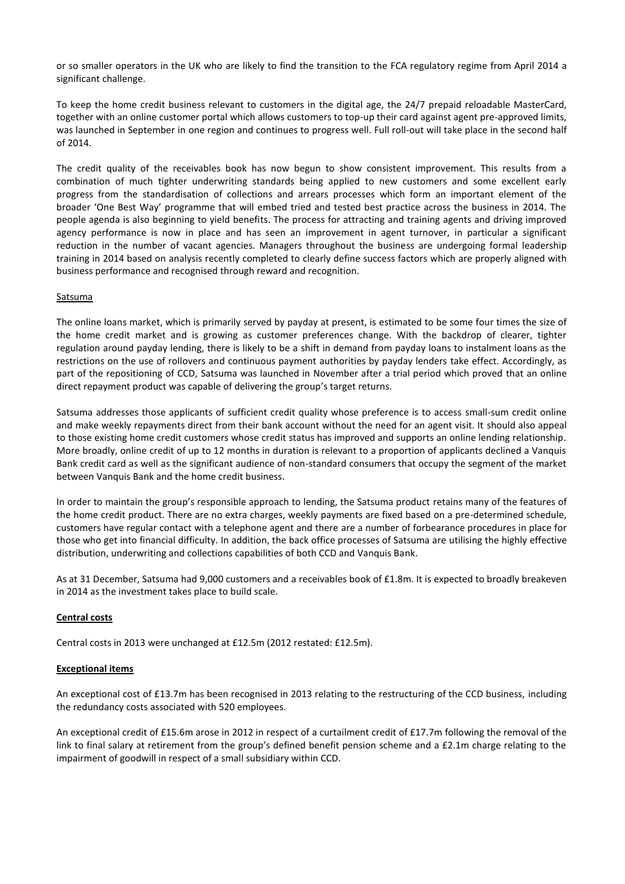or so smaller operators in the UK who are likely to find the transition to the FCA regulatory regime from April 2014 a significant challenge.

To keep the home credit business relevant to customers in the digital age, the 24/7 prepaid reloadable MasterCard, together with an online customer portal which allows customers to top-up their card against agent pre-approved limits, was launched in September in one region and continues to progress well. Full roll-out will take place in the second half of 2014.

The credit quality of the receivables book has now begun to show consistent improvement. This results from a combination of much tighter underwriting standards being applied to new customers and some excellent early progress from the standardisation of collections and arrears processes which form an important element of the broader 'One Best Way' programme that will embed tried and tested best practice across the business in 2014. The people agenda is also beginning to yield benefits. The process for attracting and training agents and driving improved agency performance is now in place and has seen an improvement in agent turnover, in particular a significant reduction in the number of vacant agencies. Managers throughout the business are undergoing formal leadership training in 2014 based on analysis recently completed to clearly define success factors which are properly aligned with business performance and recognised through reward and recognition.

## Satsuma

The online loans market, which is primarily served by payday at present, is estimated to be some four times the size of the home credit market and is growing as customer preferences change. With the backdrop of clearer, tighter regulation around payday lending, there is likely to be a shift in demand from payday loans to instalment loans as the restrictions on the use of rollovers and continuous payment authorities by payday lenders take effect. Accordingly, as part of the repositioning of CCD, Satsuma was launched in November after a trial period which proved that an online direct repayment product was capable of delivering the group's target returns.

Satsuma addresses those applicants of sufficient credit quality whose preference is to access small-sum credit online and make weekly repayments direct from their bank account without the need for an agent visit. It should also appeal to those existing home credit customers whose credit status has improved and supports an online lending relationship. More broadly, online credit of up to 12 months in duration is relevant to a proportion of applicants declined a Vanquis Bank credit card as well as the significant audience of non-standard consumers that occupy the segment of the market between Vanquis Bank and the home credit business.

In order to maintain the group's responsible approach to lending, the Satsuma product retains many of the features of the home credit product. There are no extra charges, weekly payments are fixed based on a pre-determined schedule, customers have regular contact with a telephone agent and there are a number of forbearance procedures in place for those who get into financial difficulty. In addition, the back office processes of Satsuma are utilising the highly effective distribution, underwriting and collections capabilities of both CCD and Vanquis Bank.

As at 31 December, Satsuma had 9,000 customers and a receivables book of £1.8m. It is expected to broadly breakeven in 2014 as the investment takes place to build scale.

## **Central costs**

Central costs in 2013 were unchanged at £12.5m (2012 restated: £12.5m).

#### **Exceptional items**

An exceptional cost of £13.7m has been recognised in 2013 relating to the restructuring of the CCD business, including the redundancy costs associated with 520 employees.

An exceptional credit of £15.6m arose in 2012 in respect of a curtailment credit of £17.7m following the removal of the link to final salary at retirement from the group's defined benefit pension scheme and a £2.1m charge relating to the impairment of goodwill in respect of a small subsidiary within CCD.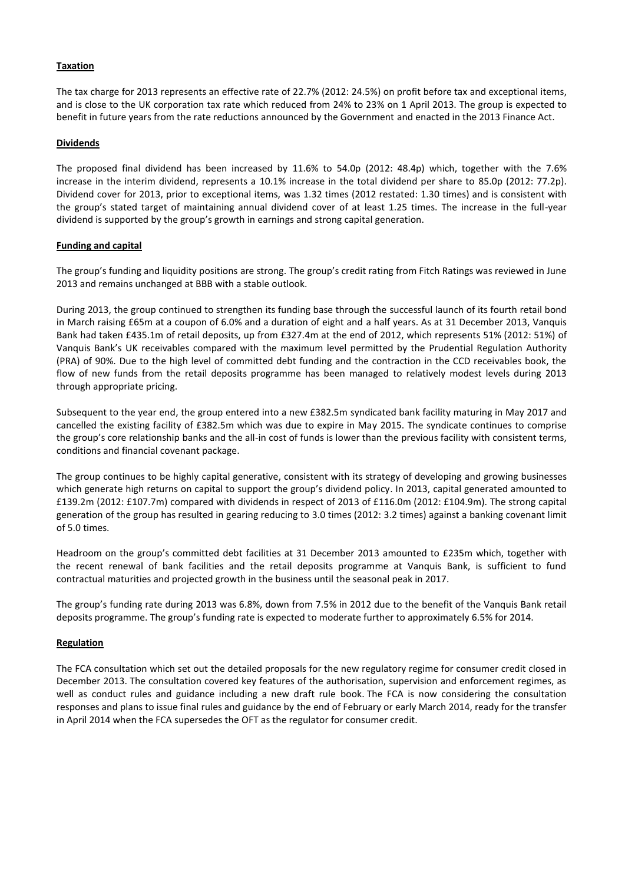## **Taxation**

The tax charge for 2013 represents an effective rate of 22.7% (2012: 24.5%) on profit before tax and exceptional items, and is close to the UK corporation tax rate which reduced from 24% to 23% on 1 April 2013. The group is expected to benefit in future years from the rate reductions announced by the Government and enacted in the 2013 Finance Act.

## **Dividends**

The proposed final dividend has been increased by 11.6% to 54.0p (2012: 48.4p) which, together with the 7.6% increase in the interim dividend, represents a 10.1% increase in the total dividend per share to 85.0p (2012: 77.2p). Dividend cover for 2013, prior to exceptional items, was 1.32 times (2012 restated: 1.30 times) and is consistent with the group's stated target of maintaining annual dividend cover of at least 1.25 times. The increase in the full-year dividend is supported by the group's growth in earnings and strong capital generation.

## **Funding and capital**

The group's funding and liquidity positions are strong. The group's credit rating from Fitch Ratings was reviewed in June 2013 and remains unchanged at BBB with a stable outlook.

During 2013, the group continued to strengthen its funding base through the successful launch of its fourth retail bond in March raising £65m at a coupon of 6.0% and a duration of eight and a half years. As at 31 December 2013, Vanquis Bank had taken £435.1m of retail deposits, up from £327.4m at the end of 2012, which represents 51% (2012: 51%) of Vanquis Bank's UK receivables compared with the maximum level permitted by the Prudential Regulation Authority (PRA) of 90%. Due to the high level of committed debt funding and the contraction in the CCD receivables book, the flow of new funds from the retail deposits programme has been managed to relatively modest levels during 2013 through appropriate pricing.

Subsequent to the year end, the group entered into a new £382.5m syndicated bank facility maturing in May 2017 and cancelled the existing facility of £382.5m which was due to expire in May 2015. The syndicate continues to comprise the group's core relationship banks and the all-in cost of funds is lower than the previous facility with consistent terms, conditions and financial covenant package.

The group continues to be highly capital generative, consistent with its strategy of developing and growing businesses which generate high returns on capital to support the group's dividend policy. In 2013, capital generated amounted to £139.2m (2012: £107.7m) compared with dividends in respect of 2013 of £116.0m (2012: £104.9m). The strong capital generation of the group has resulted in gearing reducing to 3.0 times (2012: 3.2 times) against a banking covenant limit of 5.0 times.

Headroom on the group's committed debt facilities at 31 December 2013 amounted to £235m which, together with the recent renewal of bank facilities and the retail deposits programme at Vanquis Bank, is sufficient to fund contractual maturities and projected growth in the business until the seasonal peak in 2017.

The group's funding rate during 2013 was 6.8%, down from 7.5% in 2012 due to the benefit of the Vanquis Bank retail deposits programme. The group's funding rate is expected to moderate further to approximately 6.5% for 2014.

## **Regulation**

The FCA consultation which set out the detailed proposals for the new regulatory regime for consumer credit closed in December 2013. The consultation covered key features of the authorisation, supervision and enforcement regimes, as well as conduct rules and guidance including a new draft rule book. The FCA is now considering the consultation responses and plans to issue final rules and guidance by the end of February or early March 2014, ready for the transfer in April 2014 when the FCA supersedes the OFT as the regulator for consumer credit.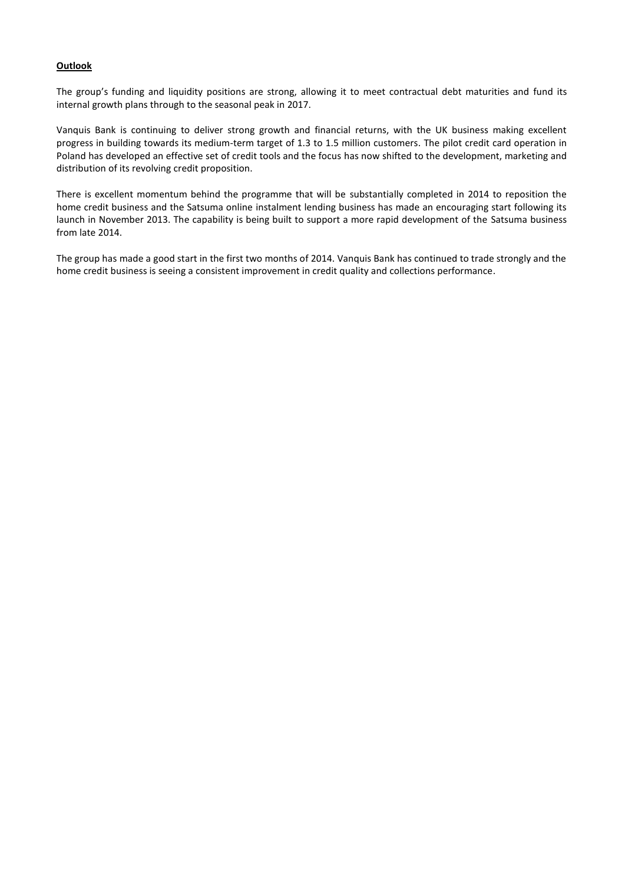## **Outlook**

The group's funding and liquidity positions are strong, allowing it to meet contractual debt maturities and fund its internal growth plans through to the seasonal peak in 2017.

Vanquis Bank is continuing to deliver strong growth and financial returns, with the UK business making excellent progress in building towards its medium-term target of 1.3 to 1.5 million customers. The pilot credit card operation in Poland has developed an effective set of credit tools and the focus has now shifted to the development, marketing and distribution of its revolving credit proposition.

There is excellent momentum behind the programme that will be substantially completed in 2014 to reposition the home credit business and the Satsuma online instalment lending business has made an encouraging start following its launch in November 2013. The capability is being built to support a more rapid development of the Satsuma business from late 2014.

The group has made a good start in the first two months of 2014. Vanquis Bank has continued to trade strongly and the home credit business is seeing a consistent improvement in credit quality and collections performance.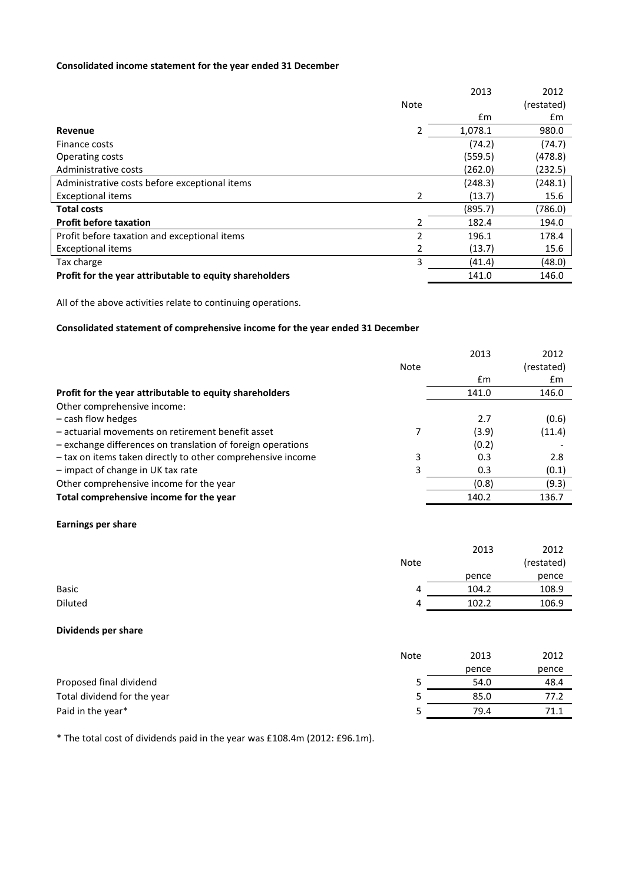# **Consolidated income statement for the year ended 31 December**

|                                                         |             | 2013    | 2012       |
|---------------------------------------------------------|-------------|---------|------------|
|                                                         | <b>Note</b> |         | (restated) |
|                                                         |             | £m      | £m         |
| Revenue                                                 | 2           | 1,078.1 | 980.0      |
| Finance costs                                           |             | (74.2)  | (74.7)     |
| Operating costs                                         |             | (559.5) | (478.8)    |
| Administrative costs                                    |             | (262.0) | (232.5)    |
| Administrative costs before exceptional items           |             | (248.3) | (248.1)    |
| <b>Exceptional items</b>                                | 2           | (13.7)  | 15.6       |
| <b>Total costs</b>                                      |             | (895.7) | (786.0)    |
| <b>Profit before taxation</b>                           | 2           | 182.4   | 194.0      |
| Profit before taxation and exceptional items            | 2           | 196.1   | 178.4      |
| <b>Exceptional items</b>                                | 2           | (13.7)  | 15.6       |
| Tax charge                                              | 3           | (41.4)  | (48.0)     |
| Profit for the year attributable to equity shareholders |             | 141.0   | 146.0      |

All of the above activities relate to continuing operations.

# **Consolidated statement of comprehensive income for the year ended 31 December**

|                                                             |      | 2013  | 2012       |
|-------------------------------------------------------------|------|-------|------------|
|                                                             | Note |       | (restated) |
|                                                             |      | £m    | £m         |
| Profit for the year attributable to equity shareholders     |      | 141.0 | 146.0      |
| Other comprehensive income:                                 |      |       |            |
| - cash flow hedges                                          |      | 2.7   | (0.6)      |
| - actuarial movements on retirement benefit asset           |      | (3.9) | (11.4)     |
| - exchange differences on translation of foreign operations |      | (0.2) |            |
| - tax on items taken directly to other comprehensive income | 3    | 0.3   | 2.8        |
| - impact of change in UK tax rate                           | 3    | 0.3   | (0.1)      |
| Other comprehensive income for the year                     |      | (0.8) | (9.3)      |
| Total comprehensive income for the year                     |      | 140.2 | 136.7      |

#### **Earnings per share**

|              |             | 2013  | 2012       |
|--------------|-------------|-------|------------|
|              | <b>Note</b> |       | (restated) |
|              |             | pence | pence      |
| <b>Basic</b> | 4           | 104.2 | 108.9      |
| Diluted      | 4           | 102.2 | 106.9      |

#### **Dividends per share**

|                             | <b>Note</b> | 2013  | 2012  |
|-----------------------------|-------------|-------|-------|
|                             |             | pence | pence |
| Proposed final dividend     |             | 54.0  | 48.4  |
| Total dividend for the year |             | 85.0  | 77.2  |
| Paid in the year*           |             | 79.4  | 71.1  |

\* The total cost of dividends paid in the year was £108.4m (2012: £96.1m).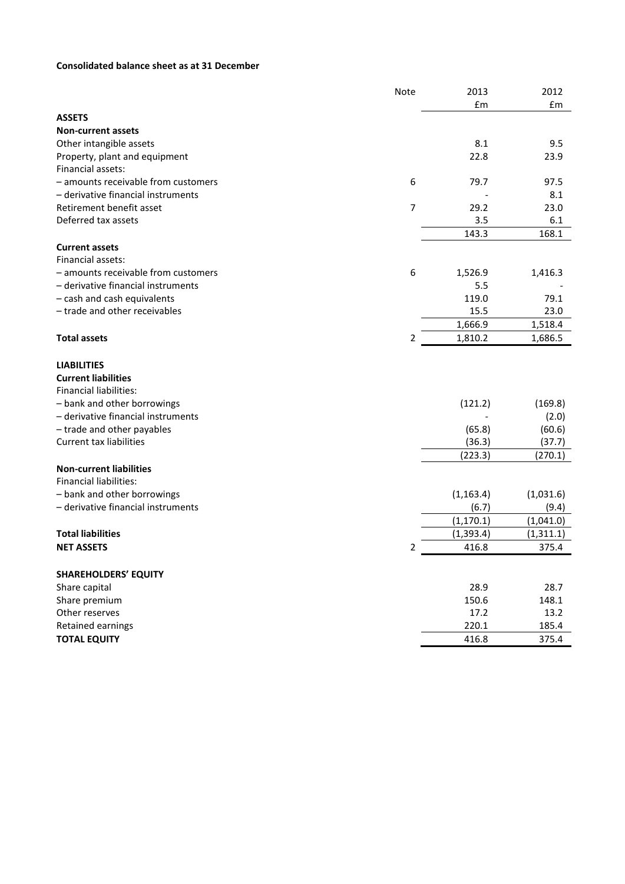# **Consolidated balance sheet as at 31 December**

|                                     | Note | 2013       | 2012       |
|-------------------------------------|------|------------|------------|
|                                     |      | £m         | £m         |
| <b>ASSETS</b>                       |      |            |            |
| <b>Non-current assets</b>           |      |            |            |
| Other intangible assets             |      | 8.1        | 9.5        |
| Property, plant and equipment       |      | 22.8       | 23.9       |
| Financial assets:                   |      |            |            |
| - amounts receivable from customers | 6    | 79.7       | 97.5       |
| - derivative financial instruments  |      |            | 8.1        |
| Retirement benefit asset            | 7    | 29.2       | 23.0       |
| Deferred tax assets                 |      | 3.5        | 6.1        |
|                                     |      | 143.3      | 168.1      |
| <b>Current assets</b>               |      |            |            |
| Financial assets:                   |      |            |            |
| - amounts receivable from customers | 6    | 1,526.9    | 1,416.3    |
| - derivative financial instruments  |      | 5.5        |            |
| - cash and cash equivalents         |      | 119.0      | 79.1       |
| - trade and other receivables       |      | 15.5       | 23.0       |
|                                     |      | 1,666.9    | 1,518.4    |
| <b>Total assets</b>                 | 2    | 1,810.2    | 1,686.5    |
| <b>LIABILITIES</b>                  |      |            |            |
| <b>Current liabilities</b>          |      |            |            |
| <b>Financial liabilities:</b>       |      |            |            |
| - bank and other borrowings         |      | (121.2)    | (169.8)    |
| - derivative financial instruments  |      |            | (2.0)      |
| - trade and other payables          |      | (65.8)     | (60.6)     |
| Current tax liabilities             |      | (36.3)     | (37.7)     |
|                                     |      | (223.3)    | (270.1)    |
| <b>Non-current liabilities</b>      |      |            |            |
| <b>Financial liabilities:</b>       |      |            |            |
| - bank and other borrowings         |      | (1, 163.4) | (1,031.6)  |
| - derivative financial instruments  |      | (6.7)      | (9.4)      |
|                                     |      | (1, 170.1) | (1,041.0)  |
| <b>Total liabilities</b>            |      | (1, 393.4) | (1, 311.1) |
| <b>NET ASSETS</b>                   | 2    | 416.8      | 375.4      |
|                                     |      |            |            |
| <b>SHAREHOLDERS' EQUITY</b>         |      |            |            |
| Share capital                       |      | 28.9       | 28.7       |
| Share premium                       |      | 150.6      | 148.1      |
| Other reserves                      |      | 17.2       | 13.2       |
| <b>Retained earnings</b>            |      | 220.1      | 185.4      |
| <b>TOTAL EQUITY</b>                 |      | 416.8      | 375.4      |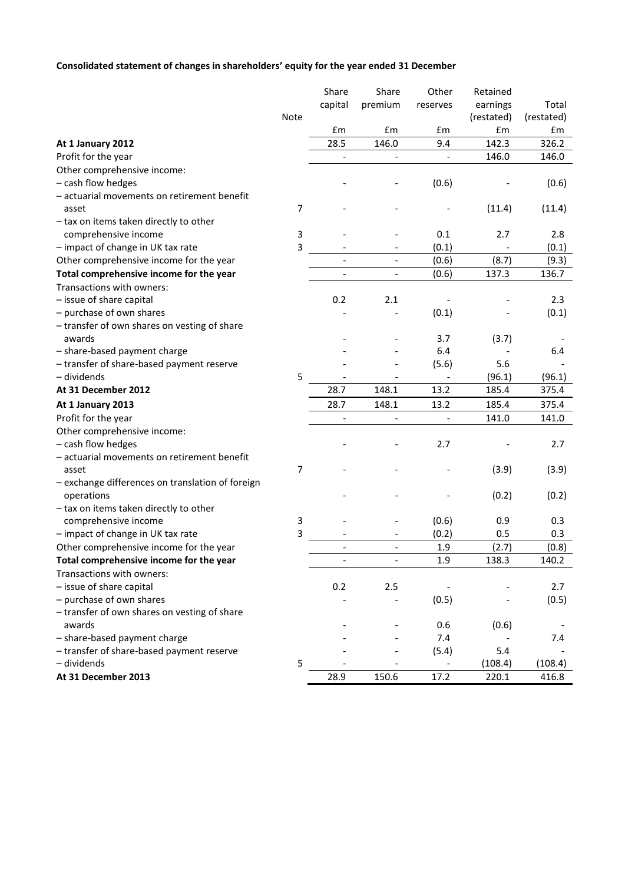# **Consolidated statement of changes in shareholders' equity for the year ended 31 December**

|                                                  |      | Share                        | Share                    | Other                    | Retained   |            |
|--------------------------------------------------|------|------------------------------|--------------------------|--------------------------|------------|------------|
|                                                  |      | capital                      | premium                  | reserves                 | earnings   | Total      |
|                                                  | Note |                              |                          |                          | (restated) | (restated) |
|                                                  |      | £m                           | £m                       | £m                       | £m         | £m         |
| At 1 January 2012                                |      | 28.5                         | 146.0                    | 9.4                      | 142.3      | 326.2      |
| Profit for the year                              |      |                              |                          |                          | 146.0      | 146.0      |
| Other comprehensive income:                      |      |                              |                          |                          |            |            |
| - cash flow hedges                               |      |                              |                          | (0.6)                    |            | (0.6)      |
| - actuarial movements on retirement benefit      |      |                              |                          |                          |            |            |
| asset                                            | 7    |                              |                          |                          | (11.4)     | (11.4)     |
| - tax on items taken directly to other           |      |                              |                          |                          |            |            |
| comprehensive income                             | 3    |                              |                          | 0.1                      | 2.7        | 2.8        |
| - impact of change in UK tax rate                | 3    |                              |                          | (0.1)                    |            | (0.1)      |
| Other comprehensive income for the year          |      |                              | $\overline{\phantom{a}}$ | (0.6)                    | (8.7)      | (9.3)      |
| Total comprehensive income for the year          |      |                              | $\overline{\phantom{a}}$ | (0.6)                    | 137.3      | 136.7      |
| Transactions with owners:                        |      |                              |                          |                          |            |            |
| - issue of share capital                         |      | 0.2                          | 2.1                      |                          |            | 2.3        |
| - purchase of own shares                         |      |                              |                          | (0.1)                    |            | (0.1)      |
| - transfer of own shares on vesting of share     |      |                              |                          |                          |            |            |
| awards                                           |      |                              |                          | 3.7                      | (3.7)      |            |
| - share-based payment charge                     |      |                              |                          | 6.4                      |            | 6.4        |
| - transfer of share-based payment reserve        |      |                              |                          | (5.6)                    | 5.6        |            |
| - dividends                                      | 5    |                              |                          |                          | (96.1)     | (96.1)     |
| At 31 December 2012                              |      | 28.7                         | 148.1                    | 13.2                     | 185.4      | 375.4      |
| At 1 January 2013                                |      | 28.7                         | 148.1                    | 13.2                     | 185.4      | 375.4      |
| Profit for the year                              |      | $\qquad \qquad \blacksquare$ | $\overline{\phantom{a}}$ |                          | 141.0      | 141.0      |
| Other comprehensive income:                      |      |                              |                          |                          |            |            |
| - cash flow hedges                               |      |                              |                          | 2.7                      |            | 2.7        |
| - actuarial movements on retirement benefit      |      |                              |                          |                          |            |            |
| asset                                            | 7    |                              |                          |                          | (3.9)      | (3.9)      |
| - exchange differences on translation of foreign |      |                              |                          |                          |            |            |
| operations                                       |      |                              |                          |                          | (0.2)      | (0.2)      |
| - tax on items taken directly to other           |      |                              |                          |                          |            |            |
| comprehensive income                             | 3    |                              |                          | (0.6)                    | 0.9        | 0.3        |
| - impact of change in UK tax rate                | 3    |                              |                          | (0.2)                    | 0.5        | 0.3        |
| Other comprehensive income for the year          |      |                              | $\overline{\phantom{a}}$ | 1.9                      | (2.7)      | (0.8)      |
| Total comprehensive income for the year          |      |                              |                          | 1.9                      | 138.3      | 140.2      |
| Transactions with owners:                        |      |                              |                          |                          |            |            |
| - issue of share capital                         |      | 0.2                          | 2.5                      |                          |            | 2.7        |
| - purchase of own shares                         |      |                              |                          | (0.5)                    |            | (0.5)      |
| - transfer of own shares on vesting of share     |      |                              |                          |                          |            |            |
| awards                                           |      |                              |                          | 0.6                      | (0.6)      |            |
| - share-based payment charge                     |      |                              |                          | 7.4                      |            | 7.4        |
| - transfer of share-based payment reserve        |      |                              |                          | (5.4)                    | 5.4        |            |
| - dividends                                      | 5    |                              |                          | $\overline{\phantom{a}}$ | (108.4)    | (108.4)    |
| At 31 December 2013                              |      | 28.9                         | 150.6                    | 17.2                     | 220.1      | 416.8      |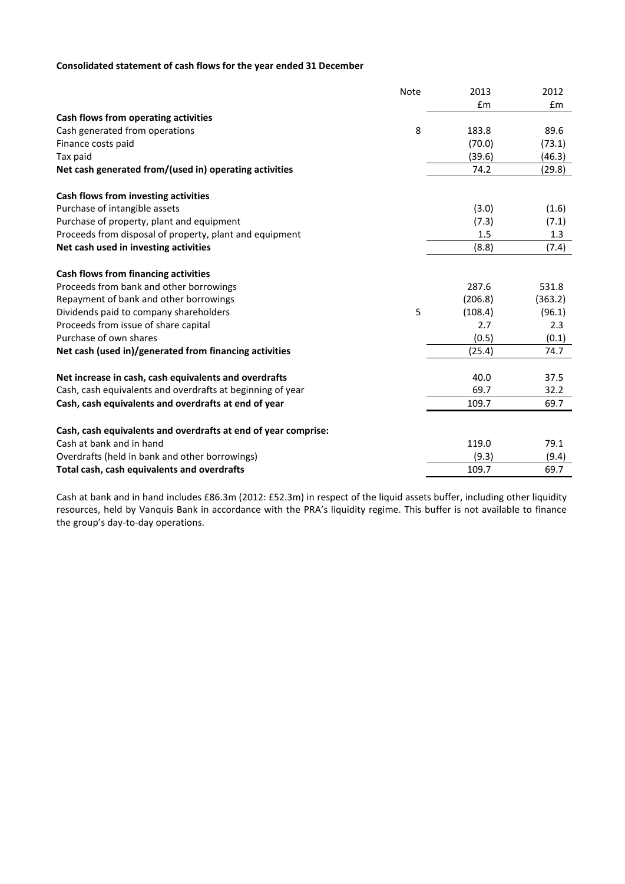# **Consolidated statement of cash flows for the year ended 31 December**

|                                                                | Note | 2013    | 2012    |
|----------------------------------------------------------------|------|---------|---------|
|                                                                |      | £m      | £m      |
| Cash flows from operating activities                           |      |         |         |
| Cash generated from operations                                 | 8    | 183.8   | 89.6    |
| Finance costs paid                                             |      | (70.0)  | (73.1)  |
| Tax paid                                                       |      | (39.6)  | (46.3)  |
| Net cash generated from/(used in) operating activities         |      | 74.2    | (29.8)  |
| Cash flows from investing activities                           |      |         |         |
| Purchase of intangible assets                                  |      | (3.0)   | (1.6)   |
| Purchase of property, plant and equipment                      |      | (7.3)   | (7.1)   |
| Proceeds from disposal of property, plant and equipment        |      | 1.5     | 1.3     |
| Net cash used in investing activities                          |      | (8.8)   | (7.4)   |
| Cash flows from financing activities                           |      |         |         |
| Proceeds from bank and other borrowings                        |      | 287.6   | 531.8   |
| Repayment of bank and other borrowings                         |      | (206.8) | (363.2) |
| Dividends paid to company shareholders                         | 5    | (108.4) | (96.1)  |
| Proceeds from issue of share capital                           |      | 2.7     | 2.3     |
| Purchase of own shares                                         |      | (0.5)   | (0.1)   |
| Net cash (used in)/generated from financing activities         |      | (25.4)  | 74.7    |
| Net increase in cash, cash equivalents and overdrafts          |      | 40.0    | 37.5    |
| Cash, cash equivalents and overdrafts at beginning of year     |      | 69.7    | 32.2    |
| Cash, cash equivalents and overdrafts at end of year           |      | 109.7   | 69.7    |
| Cash, cash equivalents and overdrafts at end of year comprise: |      |         |         |
| Cash at bank and in hand                                       |      | 119.0   | 79.1    |
| Overdrafts (held in bank and other borrowings)                 |      | (9.3)   | (9.4)   |
| Total cash, cash equivalents and overdrafts                    |      | 109.7   | 69.7    |
|                                                                |      |         |         |

Cash at bank and in hand includes £86.3m (2012: £52.3m) in respect of the liquid assets buffer, including other liquidity resources, held by Vanquis Bank in accordance with the PRA's liquidity regime. This buffer is not available to finance the group's day-to-day operations.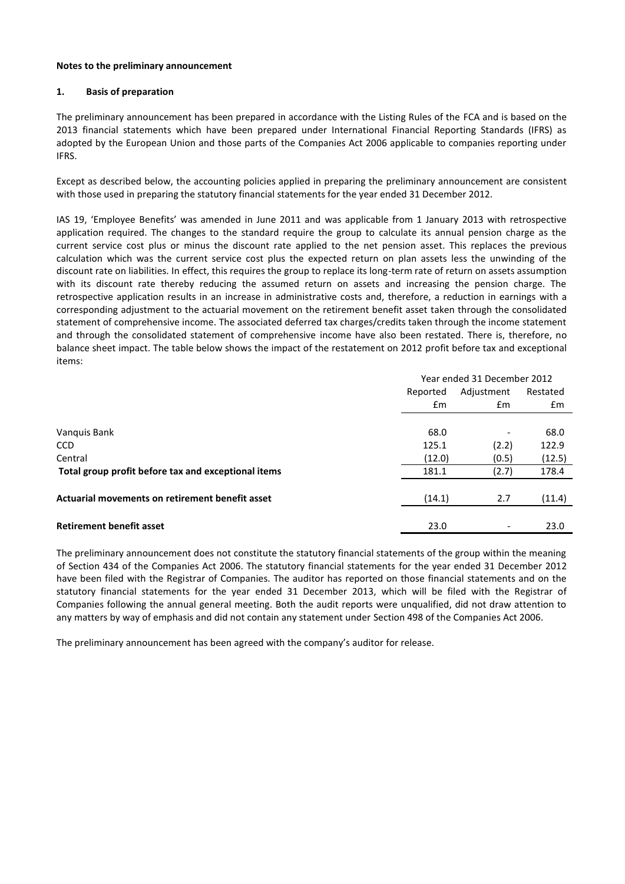#### **Notes to the preliminary announcement**

#### **1. Basis of preparation**

The preliminary announcement has been prepared in accordance with the Listing Rules of the FCA and is based on the 2013 financial statements which have been prepared under International Financial Reporting Standards (IFRS) as adopted by the European Union and those parts of the Companies Act 2006 applicable to companies reporting under IFRS.

Except as described below, the accounting policies applied in preparing the preliminary announcement are consistent with those used in preparing the statutory financial statements for the year ended 31 December 2012.

IAS 19, 'Employee Benefits' was amended in June 2011 and was applicable from 1 January 2013 with retrospective application required. The changes to the standard require the group to calculate its annual pension charge as the current service cost plus or minus the discount rate applied to the net pension asset. This replaces the previous calculation which was the current service cost plus the expected return on plan assets less the unwinding of the discount rate on liabilities. In effect, this requires the group to replace its long-term rate of return on assets assumption with its discount rate thereby reducing the assumed return on assets and increasing the pension charge. The retrospective application results in an increase in administrative costs and, therefore, a reduction in earnings with a corresponding adjustment to the actuarial movement on the retirement benefit asset taken through the consolidated statement of comprehensive income. The associated deferred tax charges/credits taken through the income statement and through the consolidated statement of comprehensive income have also been restated. There is, therefore, no balance sheet impact. The table below shows the impact of the restatement on 2012 profit before tax and exceptional items:

|                                                     | Year ended 31 December 2012 |                              |          |
|-----------------------------------------------------|-----------------------------|------------------------------|----------|
|                                                     | Reported                    | Adjustment                   | Restated |
|                                                     | $\mathsf{fm}$               | $\mathbf{f}$ m               | £m       |
|                                                     |                             |                              |          |
| Vanguis Bank                                        | 68.0                        |                              | 68.0     |
| <b>CCD</b>                                          | 125.1                       | (2.2)                        | 122.9    |
| Central                                             | (12.0)                      | (0.5)                        | (12.5)   |
| Total group profit before tax and exceptional items | 181.1                       | (2.7)                        | 178.4    |
|                                                     |                             |                              |          |
| Actuarial movements on retirement benefit asset     | (14.1)                      | 2.7                          | (11.4)   |
|                                                     |                             |                              |          |
| <b>Retirement benefit asset</b>                     | 23.0                        | $\qquad \qquad \blacksquare$ | 23.0     |

The preliminary announcement does not constitute the statutory financial statements of the group within the meaning of Section 434 of the Companies Act 2006. The statutory financial statements for the year ended 31 December 2012 have been filed with the Registrar of Companies. The auditor has reported on those financial statements and on the statutory financial statements for the year ended 31 December 2013, which will be filed with the Registrar of Companies following the annual general meeting. Both the audit reports were unqualified, did not draw attention to any matters by way of emphasis and did not contain any statement under Section 498 of the Companies Act 2006.

The preliminary announcement has been agreed with the company's auditor for release.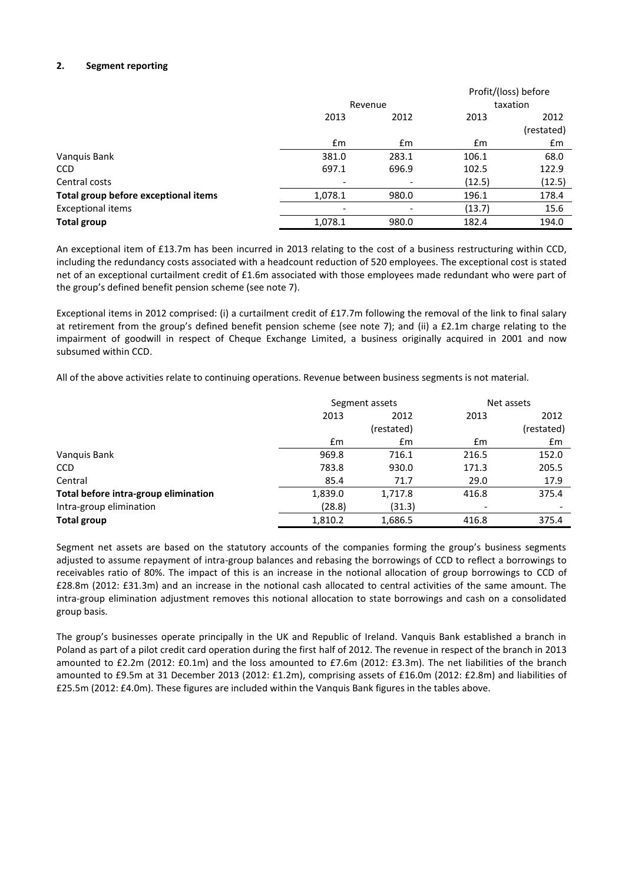## **2. Segment reporting**

|                                      |         |                |        | Profit/(loss) before |
|--------------------------------------|---------|----------------|--------|----------------------|
|                                      |         | Revenue        |        | taxation             |
|                                      | 2013    | 2012           |        | 2012                 |
|                                      |         |                |        | (restated)           |
|                                      | Em      | $\mathbf{f}$ m | Em     | £m                   |
| Vanquis Bank                         | 381.0   | 283.1          | 106.1  | 68.0                 |
| <b>CCD</b>                           | 697.1   | 696.9          | 102.5  | 122.9                |
| Central costs                        |         | -              | (12.5) | (12.5)               |
| Total group before exceptional items | 1,078.1 | 980.0          | 196.1  | 178.4                |
| <b>Exceptional items</b>             |         |                | (13.7) | 15.6                 |
| <b>Total group</b>                   | 1,078.1 | 980.0          | 182.4  | 194.0                |

An exceptional item of £13.7m has been incurred in 2013 relating to the cost of a business restructuring within CCD, including the redundancy costs associated with a headcount reduction of 520 employees. The exceptional cost is stated net of an exceptional curtailment credit of £1.6m associated with those employees made redundant who were part of the group's defined benefit pension scheme (see note 7).

Exceptional items in 2012 comprised: (i) a curtailment credit of £17.7m following the removal of the link to final salary at retirement from the group's defined benefit pension scheme (see note 7); and (ii) a £2.1m charge relating to the impairment of goodwill in respect of Cheque Exchange Limited, a business originally acquired in 2001 and now subsumed within CCD.

All of the above activities relate to continuing operations. Revenue between business segments is not material.

|                                      | Segment assets |              |       | Net assets |
|--------------------------------------|----------------|--------------|-------|------------|
|                                      | 2013           | 2012<br>2013 |       | 2012       |
|                                      |                | (restated)   |       | (restated) |
|                                      | Em             | Em           | Em    | £m         |
| Vanguis Bank                         | 969.8          | 716.1        | 216.5 | 152.0      |
| <b>CCD</b>                           | 783.8          | 930.0        | 171.3 | 205.5      |
| Central                              | 85.4           | 71.7         | 29.0  | 17.9       |
| Total before intra-group elimination | 1,839.0        | 1,717.8      | 416.8 | 375.4      |
| Intra-group elimination              | (28.8)         | (31.3)       |       |            |
| <b>Total group</b>                   | 1,810.2        | 1,686.5      | 416.8 | 375.4      |

Segment net assets are based on the statutory accounts of the companies forming the group's business segments adjusted to assume repayment of intra-group balances and rebasing the borrowings of CCD to reflect a borrowings to receivables ratio of 80%. The impact of this is an increase in the notional allocation of group borrowings to CCD of £28.8m (2012: £31.3m) and an increase in the notional cash allocated to central activities of the same amount. The intra-group elimination adjustment removes this notional allocation to state borrowings and cash on a consolidated group basis.

The group's businesses operate principally in the UK and Republic of Ireland. Vanquis Bank established a branch in Poland as part of a pilot credit card operation during the first half of 2012. The revenue in respect of the branch in 2013 amounted to £2.2m (2012: £0.1m) and the loss amounted to £7.6m (2012: £3.3m). The net liabilities of the branch amounted to £9.5m at 31 December 2013 (2012: £1.2m), comprising assets of £16.0m (2012: £2.8m) and liabilities of £25.5m (2012: £4.0m). These figures are included within the Vanquis Bank figures in the tables above.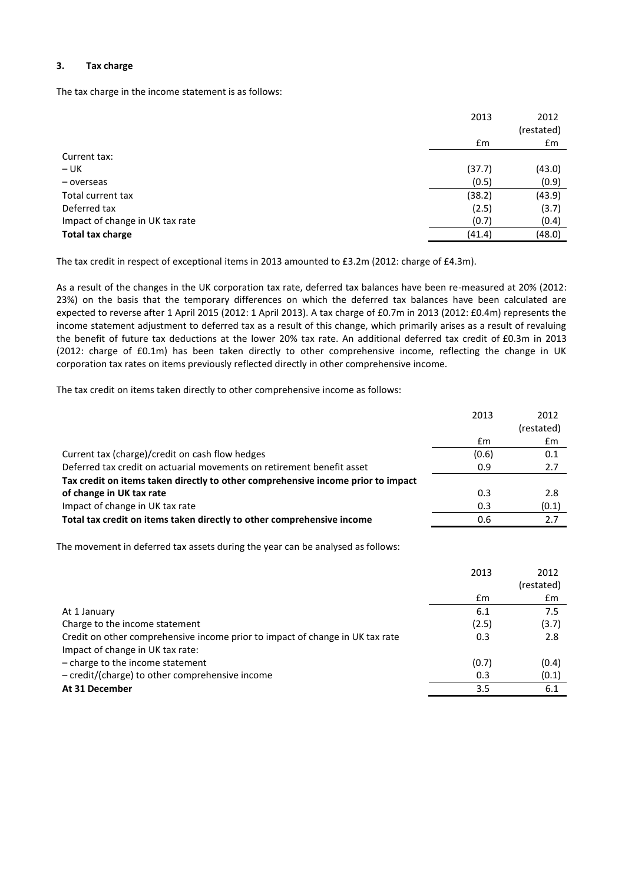## **3. Tax charge**

The tax charge in the income statement is as follows:

|                                 | 2013          | 2012<br>(restated) |
|---------------------------------|---------------|--------------------|
|                                 | $\mathsf{fm}$ | £m                 |
| Current tax:                    |               |                    |
| $- UK$                          | (37.7)        | (43.0)             |
| - overseas                      | (0.5)         | (0.9)              |
| Total current tax               | (38.2)        | (43.9)             |
| Deferred tax                    | (2.5)         | (3.7)              |
| Impact of change in UK tax rate | (0.7)         | (0.4)              |
| <b>Total tax charge</b>         | (41.4)        | (48.0)             |

The tax credit in respect of exceptional items in 2013 amounted to £3.2m (2012: charge of £4.3m).

As a result of the changes in the UK corporation tax rate, deferred tax balances have been re-measured at 20% (2012: 23%) on the basis that the temporary differences on which the deferred tax balances have been calculated are expected to reverse after 1 April 2015 (2012: 1 April 2013). A tax charge of £0.7m in 2013 (2012: £0.4m) represents the income statement adjustment to deferred tax as a result of this change, which primarily arises as a result of revaluing the benefit of future tax deductions at the lower 20% tax rate. An additional deferred tax credit of £0.3m in 2013 (2012: charge of £0.1m) has been taken directly to other comprehensive income, reflecting the change in UK corporation tax rates on items previously reflected directly in other comprehensive income.

The tax credit on items taken directly to other comprehensive income as follows:

|                                                                                  | 2013  | 2012       |
|----------------------------------------------------------------------------------|-------|------------|
|                                                                                  |       | (restated) |
|                                                                                  | £m    | £m         |
| Current tax (charge)/credit on cash flow hedges                                  | (0.6) | 0.1        |
| Deferred tax credit on actuarial movements on retirement benefit asset           | 0.9   | 2.7        |
| Tax credit on items taken directly to other comprehensive income prior to impact |       |            |
| of change in UK tax rate                                                         | 0.3   | 2.8        |
| Impact of change in UK tax rate                                                  | 0.3   | (0.1)      |
| Total tax credit on items taken directly to other comprehensive income           | 0.6   | 2.7        |

The movement in deferred tax assets during the year can be analysed as follows:

|                                                                               | 2013  | 2012       |
|-------------------------------------------------------------------------------|-------|------------|
|                                                                               |       | (restated) |
|                                                                               | £m    | £m         |
| At 1 January                                                                  | 6.1   | 7.5        |
| Charge to the income statement                                                | (2.5) | (3.7)      |
| Credit on other comprehensive income prior to impact of change in UK tax rate | 0.3   | 2.8        |
| Impact of change in UK tax rate:                                              |       |            |
| - charge to the income statement                                              | (0.7) | (0.4)      |
| - credit/(charge) to other comprehensive income                               | 0.3   | (0.1)      |
| At 31 December                                                                | 3.5   | 6.1        |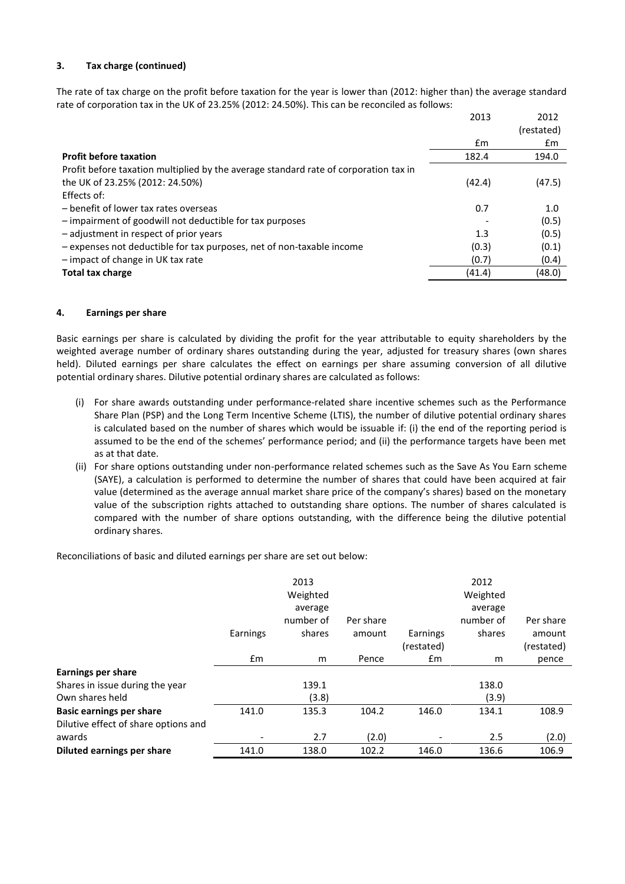## **3. Tax charge (continued)**

The rate of tax charge on the profit before taxation for the year is lower than (2012: higher than) the average standard rate of corporation tax in the UK of 23.25% (2012: 24.50%). This can be reconciled as follows:

|                                                                                      | 2013   | 2012       |
|--------------------------------------------------------------------------------------|--------|------------|
|                                                                                      |        | (restated) |
|                                                                                      | £m     | £m         |
| <b>Profit before taxation</b>                                                        | 182.4  | 194.0      |
| Profit before taxation multiplied by the average standard rate of corporation tax in |        |            |
| the UK of 23.25% (2012: 24.50%)                                                      | (42.4) | (47.5)     |
| Effects of:                                                                          |        |            |
| - benefit of lower tax rates overseas                                                | 0.7    | 1.0        |
| - impairment of goodwill not deductible for tax purposes                             |        | (0.5)      |
| - adjustment in respect of prior years                                               | 1.3    | (0.5)      |
| - expenses not deductible for tax purposes, net of non-taxable income                | (0.3)  | (0.1)      |
| - impact of change in UK tax rate                                                    | (0.7)  | (0.4)      |
| <b>Total tax charge</b>                                                              | (41.4) | (48.0)     |

#### **4. Earnings per share**

Basic earnings per share is calculated by dividing the profit for the year attributable to equity shareholders by the weighted average number of ordinary shares outstanding during the year, adjusted for treasury shares (own shares held). Diluted earnings per share calculates the effect on earnings per share assuming conversion of all dilutive potential ordinary shares. Dilutive potential ordinary shares are calculated as follows:

- (i) For share awards outstanding under performance-related share incentive schemes such as the Performance Share Plan (PSP) and the Long Term Incentive Scheme (LTIS), the number of dilutive potential ordinary shares is calculated based on the number of shares which would be issuable if: (i) the end of the reporting period is assumed to be the end of the schemes' performance period; and (ii) the performance targets have been met as at that date.
- (ii) For share options outstanding under non-performance related schemes such as the Save As You Earn scheme (SAYE), a calculation is performed to determine the number of shares that could have been acquired at fair value (determined as the average annual market share price of the company's shares) based on the monetary value of the subscription rights attached to outstanding share options. The number of shares calculated is compared with the number of share options outstanding, with the difference being the dilutive potential ordinary shares.

Reconciliations of basic and diluted earnings per share are set out below:

|                                      | Earnings | 2013<br>Weighted<br>average<br>number of<br>shares | Per share<br>amount | Earnings      | 2012<br>Weighted<br>average<br>number of<br>shares | Per share<br>amount |
|--------------------------------------|----------|----------------------------------------------------|---------------------|---------------|----------------------------------------------------|---------------------|
|                                      |          |                                                    |                     | (restated)    |                                                    | (restated)          |
|                                      | £m       | m                                                  | Pence               | $\mathsf{fm}$ | m                                                  | pence               |
| <b>Earnings per share</b>            |          |                                                    |                     |               |                                                    |                     |
| Shares in issue during the year      |          | 139.1                                              |                     |               | 138.0                                              |                     |
| Own shares held                      |          | (3.8)                                              |                     |               | (3.9)                                              |                     |
| <b>Basic earnings per share</b>      | 141.0    | 135.3                                              | 104.2               | 146.0         | 134.1                                              | 108.9               |
| Dilutive effect of share options and |          |                                                    |                     |               |                                                    |                     |
| awards                               |          | 2.7                                                | (2.0)               |               | 2.5                                                | (2.0)               |
| Diluted earnings per share           | 141.0    | 138.0                                              | 102.2               | 146.0         | 136.6                                              | 106.9               |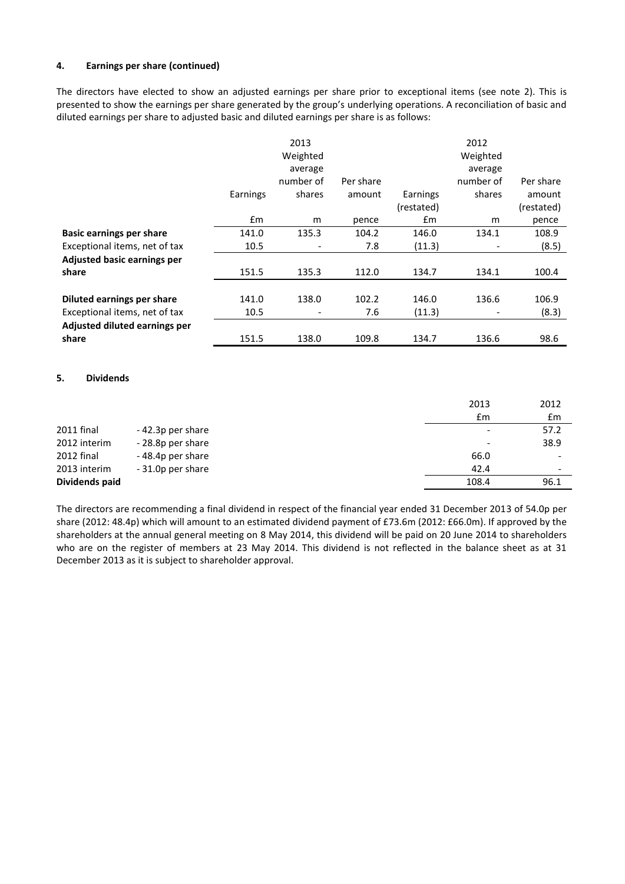## **4. Earnings per share (continued)**

The directors have elected to show an adjusted earnings per share prior to exceptional items (see note 2). This is presented to show the earnings per share generated by the group's underlying operations. A reconciliation of basic and diluted earnings per share to adjusted basic and diluted earnings per share is as follows:

|                                 |               | 2013                         |           |               | 2012      |            |
|---------------------------------|---------------|------------------------------|-----------|---------------|-----------|------------|
|                                 |               | Weighted                     |           |               | Weighted  |            |
|                                 |               | average                      |           |               | average   |            |
|                                 |               | number of                    | Per share |               | number of | Per share  |
|                                 | Earnings      | shares                       | amount    | Earnings      | shares    | amount     |
|                                 |               |                              |           | (restated)    |           | (restated) |
|                                 | $\mathsf{fm}$ | m                            | pence     | $\mathsf{fm}$ | m         | pence      |
| <b>Basic earnings per share</b> | 141.0         | 135.3                        | 104.2     | 146.0         | 134.1     | 108.9      |
| Exceptional items, net of tax   | 10.5          | $\qquad \qquad \blacksquare$ | 7.8       | (11.3)        |           | (8.5)      |
| Adjusted basic earnings per     |               |                              |           |               |           |            |
| share                           | 151.5         | 135.3                        | 112.0     | 134.7         | 134.1     | 100.4      |
|                                 |               |                              |           |               |           |            |
| Diluted earnings per share      | 141.0         | 138.0                        | 102.2     | 146.0         | 136.6     | 106.9      |
| Exceptional items, net of tax   | 10.5          | $\overline{\phantom{a}}$     | 7.6       | (11.3)        |           | (8.3)      |
| Adjusted diluted earnings per   |               |                              |           |               |           |            |
| share                           | 151.5         | 138.0                        | 109.8     | 134.7         | 136.6     | 98.6       |

#### **5. Dividends**

|                |                   | 2013                     | 2012                     |
|----------------|-------------------|--------------------------|--------------------------|
|                |                   | £m                       | £m                       |
| 2011 final     | -42.3p per share  | $\overline{\phantom{a}}$ | 57.2                     |
| 2012 interim   | - 28.8p per share | $\overline{\phantom{a}}$ | 38.9                     |
| 2012 final     | -48.4p per share  | 66.0                     |                          |
| 2013 interim   | -31.0p per share  | 42.4                     | $\overline{\phantom{0}}$ |
| Dividends paid |                   | 108.4                    | 96.1                     |

The directors are recommending a final dividend in respect of the financial year ended 31 December 2013 of 54.0p per share (2012: 48.4p) which will amount to an estimated dividend payment of £73.6m (2012: £66.0m). If approved by the shareholders at the annual general meeting on 8 May 2014, this dividend will be paid on 20 June 2014 to shareholders who are on the register of members at 23 May 2014. This dividend is not reflected in the balance sheet as at 31 December 2013 as it is subject to shareholder approval.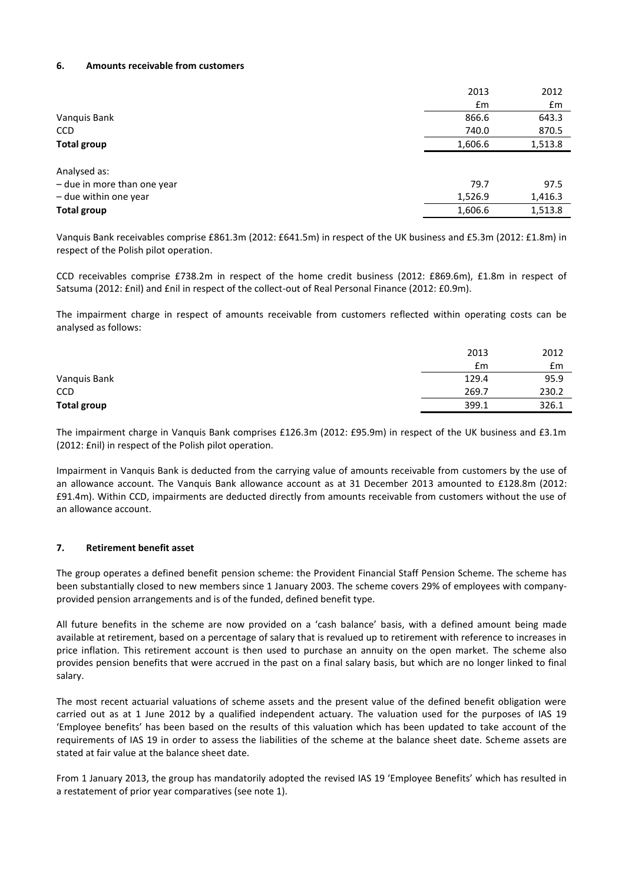#### **6. Amounts receivable from customers**

|                             | 2013          | 2012    |
|-----------------------------|---------------|---------|
|                             | $\mathsf{fm}$ | £m      |
| Vanquis Bank                | 866.6         | 643.3   |
| <b>CCD</b>                  | 740.0         | 870.5   |
| <b>Total group</b>          | 1,606.6       | 1,513.8 |
|                             |               |         |
| Analysed as:                |               |         |
| - due in more than one year | 79.7          | 97.5    |
| - due within one year       | 1,526.9       | 1,416.3 |
| <b>Total group</b>          | 1,606.6       | 1,513.8 |
|                             |               |         |

Vanquis Bank receivables comprise £861.3m (2012: £641.5m) in respect of the UK business and £5.3m (2012: £1.8m) in respect of the Polish pilot operation.

CCD receivables comprise £738.2m in respect of the home credit business (2012: £869.6m), £1.8m in respect of Satsuma (2012: £nil) and £nil in respect of the collect-out of Real Personal Finance (2012: £0.9m).

The impairment charge in respect of amounts receivable from customers reflected within operating costs can be analysed as follows:

|                    | 2013  | 2012  |
|--------------------|-------|-------|
|                    | £m    | £m    |
| Vanquis Bank       | 129.4 | 95.9  |
| <b>CCD</b>         | 269.7 | 230.2 |
| <b>Total group</b> | 399.1 | 326.1 |

The impairment charge in Vanquis Bank comprises £126.3m (2012: £95.9m) in respect of the UK business and £3.1m (2012: £nil) in respect of the Polish pilot operation.

Impairment in Vanquis Bank is deducted from the carrying value of amounts receivable from customers by the use of an allowance account. The Vanquis Bank allowance account as at 31 December 2013 amounted to £128.8m (2012: £91.4m). Within CCD, impairments are deducted directly from amounts receivable from customers without the use of an allowance account.

## **7. Retirement benefit asset**

The group operates a defined benefit pension scheme: the Provident Financial Staff Pension Scheme. The scheme has been substantially closed to new members since 1 January 2003. The scheme covers 29% of employees with companyprovided pension arrangements and is of the funded, defined benefit type.

All future benefits in the scheme are now provided on a 'cash balance' basis, with a defined amount being made available at retirement, based on a percentage of salary that is revalued up to retirement with reference to increases in price inflation. This retirement account is then used to purchase an annuity on the open market. The scheme also provides pension benefits that were accrued in the past on a final salary basis, but which are no longer linked to final salary.

The most recent actuarial valuations of scheme assets and the present value of the defined benefit obligation were carried out as at 1 June 2012 by a qualified independent actuary. The valuation used for the purposes of IAS 19 'Employee benefits' has been based on the results of this valuation which has been updated to take account of the requirements of IAS 19 in order to assess the liabilities of the scheme at the balance sheet date. Scheme assets are stated at fair value at the balance sheet date.

From 1 January 2013, the group has mandatorily adopted the revised IAS 19 'Employee Benefits' which has resulted in a restatement of prior year comparatives (see note 1).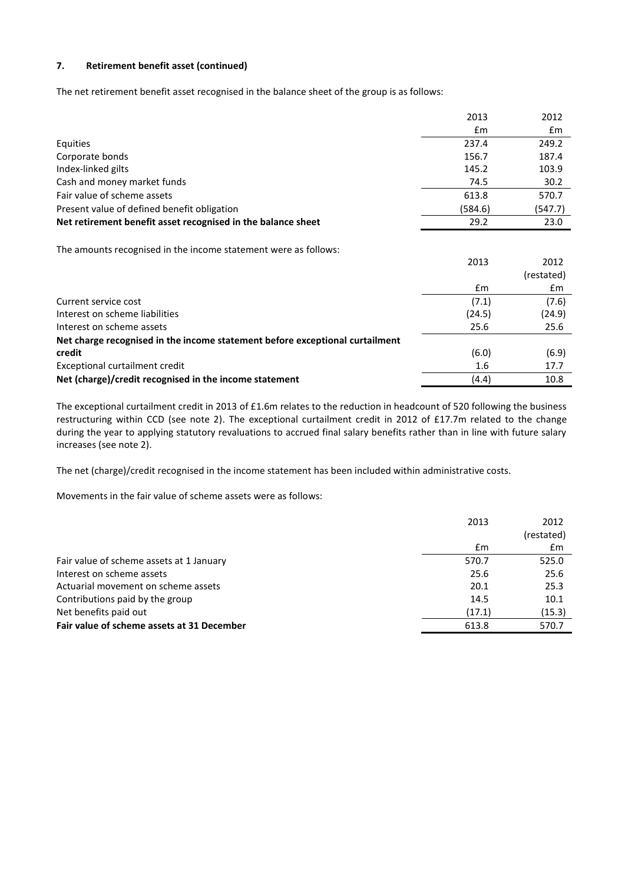# **7. Retirement benefit asset (continued)**

The net retirement benefit asset recognised in the balance sheet of the group is as follows:

|                                                                 | 2013    | 2012    |
|-----------------------------------------------------------------|---------|---------|
|                                                                 | £m      | £m      |
| Equities                                                        | 237.4   | 249.2   |
| Corporate bonds                                                 | 156.7   | 187.4   |
| Index-linked gilts                                              | 145.2   | 103.9   |
| Cash and money market funds                                     | 74.5    | 30.2    |
| Fair value of scheme assets                                     | 613.8   | 570.7   |
| Present value of defined benefit obligation                     | (584.6) | (547.7) |
| Net retirement benefit asset recognised in the balance sheet    | 29.2    | 23.0    |
|                                                                 |         |         |
| The amounts recognised in the income statement were as follows: |         |         |

|                                                                              | 2013   | 2012       |
|------------------------------------------------------------------------------|--------|------------|
|                                                                              |        | (restated) |
|                                                                              | £m     | £m         |
| Current service cost                                                         | (7.1)  | (7.6)      |
| Interest on scheme liabilities                                               | (24.5) | (24.9)     |
| Interest on scheme assets                                                    | 25.6   | 25.6       |
| Net charge recognised in the income statement before exceptional curtailment |        |            |
| credit                                                                       | (6.0)  | (6.9)      |
| Exceptional curtailment credit                                               | 1.6    | 17.7       |
| Net (charge)/credit recognised in the income statement                       | (4.4)  | 10.8       |

The exceptional curtailment credit in 2013 of £1.6m relates to the reduction in headcount of 520 following the business restructuring within CCD (see note 2). The exceptional curtailment credit in 2012 of £17.7m related to the change during the year to applying statutory revaluations to accrued final salary benefits rather than in line with future salary increases (see note 2).

The net (charge)/credit recognised in the income statement has been included within administrative costs.

Movements in the fair value of scheme assets were as follows:

|                                            | 2013   | 2012       |
|--------------------------------------------|--------|------------|
|                                            |        | (restated) |
|                                            | £m     | £m         |
| Fair value of scheme assets at 1 January   | 570.7  | 525.0      |
| Interest on scheme assets                  | 25.6   | 25.6       |
| Actuarial movement on scheme assets        | 20.1   | 25.3       |
| Contributions paid by the group            | 14.5   | 10.1       |
| Net benefits paid out                      | (17.1) | (15.3)     |
| Fair value of scheme assets at 31 December | 613.8  | 570.7      |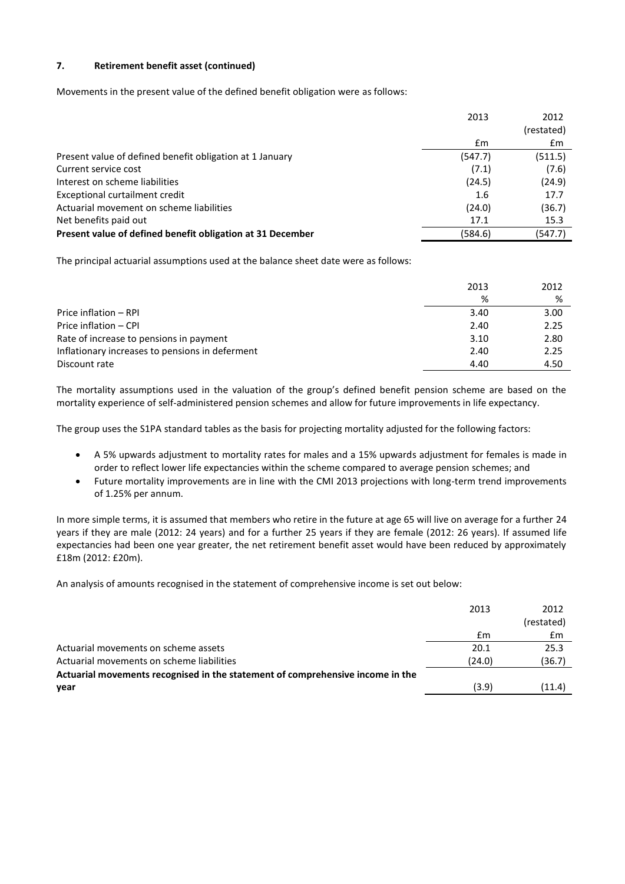## **7. Retirement benefit asset (continued)**

Movements in the present value of the defined benefit obligation were as follows:

|                                                            | 2013    | 2012       |
|------------------------------------------------------------|---------|------------|
|                                                            |         | (restated) |
|                                                            | £m      | £m         |
| Present value of defined benefit obligation at 1 January   | (547.7) | (511.5)    |
| Current service cost                                       | (7.1)   | (7.6)      |
| Interest on scheme liabilities                             | (24.5)  | (24.9)     |
| Exceptional curtailment credit                             | 1.6     | 17.7       |
| Actuarial movement on scheme liabilities                   | (24.0)  | (36.7)     |
| Net benefits paid out                                      | 17.1    | 15.3       |
| Present value of defined benefit obligation at 31 December | (584.6) | (547.7)    |

The principal actuarial assumptions used at the balance sheet date were as follows:

|                                                 | 2013 | 2012 |
|-------------------------------------------------|------|------|
|                                                 | %    | %    |
| Price inflation - RPI                           | 3.40 | 3.00 |
| Price inflation - CPI                           | 2.40 | 2.25 |
| Rate of increase to pensions in payment         | 3.10 | 2.80 |
| Inflationary increases to pensions in deferment | 2.40 | 2.25 |
| Discount rate                                   | 4.40 | 4.50 |

The mortality assumptions used in the valuation of the group's defined benefit pension scheme are based on the mortality experience of self-administered pension schemes and allow for future improvements in life expectancy.

The group uses the S1PA standard tables as the basis for projecting mortality adjusted for the following factors:

- A 5% upwards adjustment to mortality rates for males and a 15% upwards adjustment for females is made in order to reflect lower life expectancies within the scheme compared to average pension schemes; and
- Future mortality improvements are in line with the CMI 2013 projections with long-term trend improvements of 1.25% per annum.

In more simple terms, it is assumed that members who retire in the future at age 65 will live on average for a further 24 years if they are male (2012: 24 years) and for a further 25 years if they are female (2012: 26 years). If assumed life expectancies had been one year greater, the net retirement benefit asset would have been reduced by approximately £18m (2012: £20m).

An analysis of amounts recognised in the statement of comprehensive income is set out below:

|                                                                                | 2013   | 2012       |
|--------------------------------------------------------------------------------|--------|------------|
|                                                                                |        | (restated) |
|                                                                                | £m     | £m         |
| Actuarial movements on scheme assets                                           | 20.1   | 25.3       |
| Actuarial movements on scheme liabilities                                      | (24.0) | (36.7)     |
| Actuarial movements recognised in the statement of comprehensive income in the |        |            |
| year                                                                           | (3.9)  | (11.4)     |